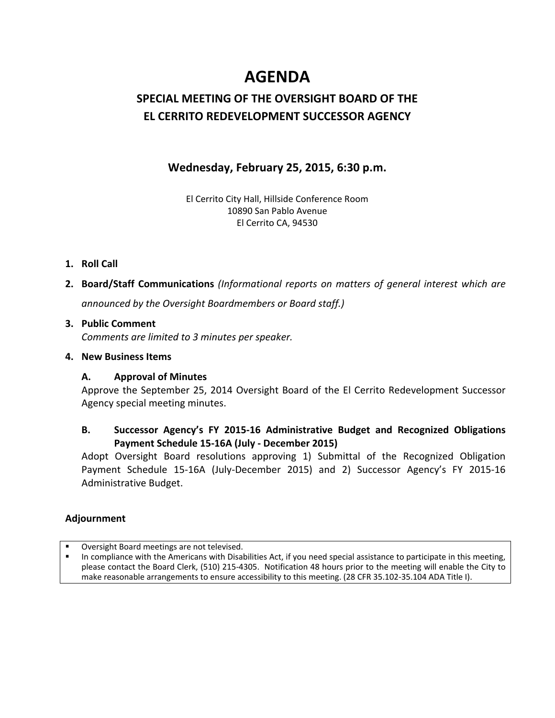# **AGENDA**

### **SPECIAL MEETING OF THE OVERSIGHT BOARD OF THE EL CERRITO REDEVELOPMENT SUCCESSOR AGENCY**

#### **Wednesday, February 25, 2015, 6:30 p.m.**

El Cerrito City Hall, Hillside Conference Room 10890 San Pablo Avenue El Cerrito CA, 94530

- **1. Roll Call**
- **2. Board/Staff Communications** *(Informational reports on matters of general interest which are announced by the Oversight Boardmembers or Board staff.)*

#### **3. Public Comment**  *Comments are limited to 3 minutes per speaker.*

#### **4. New Business Items**

#### **A. Approval of Minutes**

Approve the September 25, 2014 Oversight Board of the El Cerrito Redevelopment Successor Agency special meeting minutes.

#### **B. Successor Agency's FY 2015‐16 Administrative Budget and Recognized Obligations Payment Schedule 15‐16A (July ‐ December 2015)**

Adopt Oversight Board resolutions approving 1) Submittal of the Recognized Obligation Payment Schedule 15‐16A (July‐December 2015) and 2) Successor Agency's FY 2015‐16 Administrative Budget.

#### **Adjournment**

- Oversight Board meetings are not televised.
- In compliance with the Americans with Disabilities Act, if you need special assistance to participate in this meeting, please contact the Board Clerk, (510) 215‐4305. Notification 48 hours prior to the meeting will enable the City to make reasonable arrangements to ensure accessibility to this meeting. (28 CFR 35.102-35.104 ADA Title I).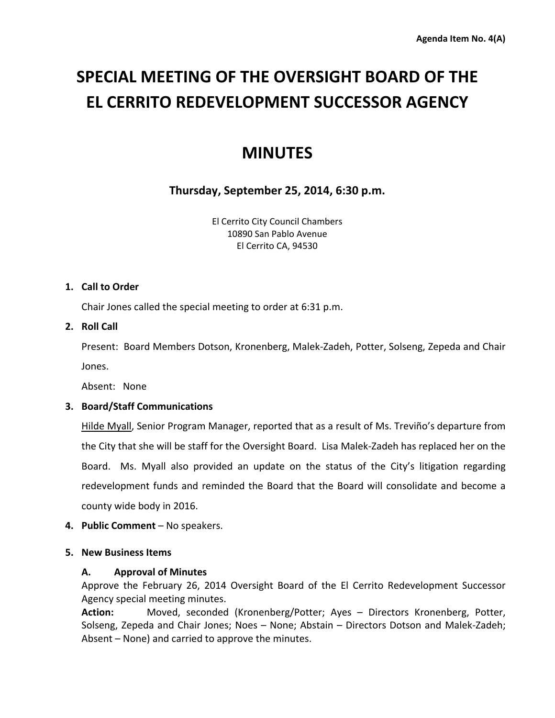# **SPECIAL MEETING OF THE OVERSIGHT BOARD OF THE EL CERRITO REDEVELOPMENT SUCCESSOR AGENCY**

## **MINUTES**

#### **Thursday, September 25, 2014, 6:30 p.m.**

El Cerrito City Council Chambers 10890 San Pablo Avenue El Cerrito CA, 94530

#### **1. Call to Order**

Chair Jones called the special meeting to order at 6:31 p.m.

#### **2. Roll Call**

Present: Board Members Dotson, Kronenberg, Malek‐Zadeh, Potter, Solseng, Zepeda and Chair Jones.

Absent: None

#### **3. Board/Staff Communications**

Hilde Myall, Senior Program Manager, reported that as a result of Ms. Treviño's departure from the City that she will be staff for the Oversight Board. Lisa Malek‐Zadeh has replaced her on the Board. Ms. Myall also provided an update on the status of the City's litigation regarding redevelopment funds and reminded the Board that the Board will consolidate and become a county wide body in 2016.

**4. Public Comment** – No speakers.

#### **5. New Business Items**

#### **A. Approval of Minutes**

Approve the February 26, 2014 Oversight Board of the El Cerrito Redevelopment Successor Agency special meeting minutes.

**Action:** Moved, seconded (Kronenberg/Potter; Ayes – Directors Kronenberg, Potter, Solseng, Zepeda and Chair Jones; Noes – None; Abstain – Directors Dotson and Malek‐Zadeh; Absent – None) and carried to approve the minutes.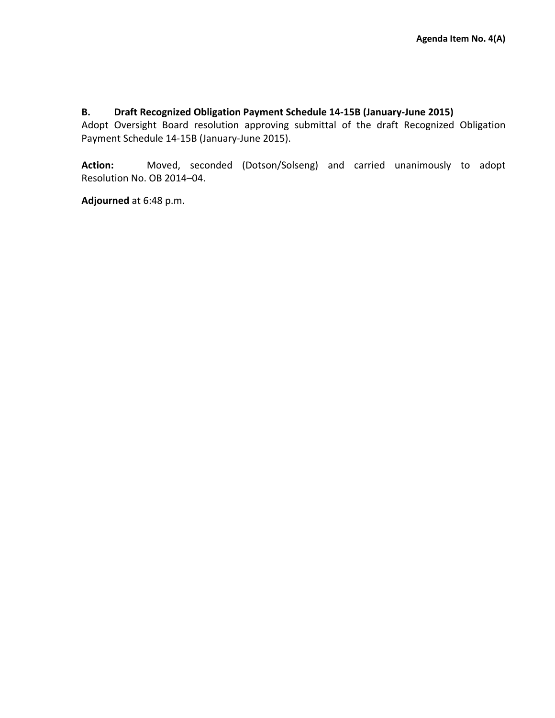#### **B. Draft Recognized Obligation Payment Schedule 14‐15B (January‐June 2015)**

Adopt Oversight Board resolution approving submittal of the draft Recognized Obligation Payment Schedule 14‐15B (January‐June 2015).

**Action:**  Moved, seconded (Dotson/Solseng) and carried unanimously to adopt Resolution No. OB 2014–04.

**Adjourned** at 6:48 p.m.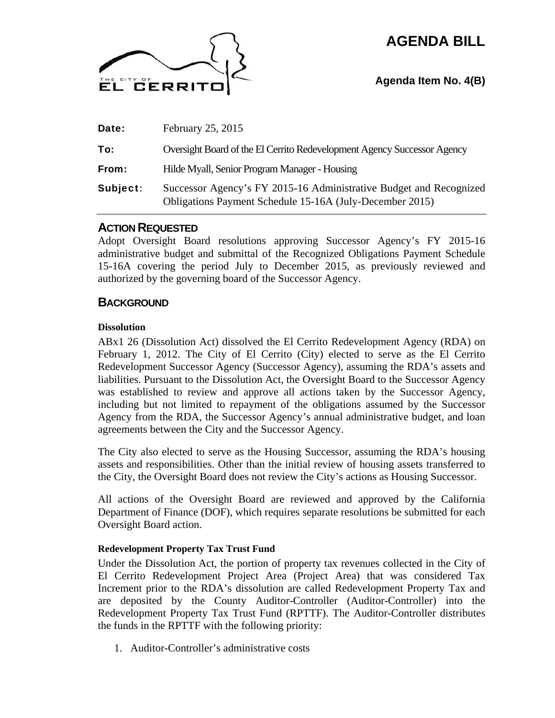## **AGENDA BILL**



#### **Agenda Item No. 4(B)**

| Date:    | February 25, 2015                                                                                                              |
|----------|--------------------------------------------------------------------------------------------------------------------------------|
| To:      | Oversight Board of the El Cerrito Redevelopment Agency Successor Agency                                                        |
| From:    | Hilde Myall, Senior Program Manager - Housing                                                                                  |
| Subject: | Successor Agency's FY 2015-16 Administrative Budget and Recognized<br>Obligations Payment Schedule 15-16A (July-December 2015) |

#### **ACTION REQUESTED**

Adopt Oversight Board resolutions approving Successor Agency's FY 2015-16 administrative budget and submittal of the Recognized Obligations Payment Schedule 15-16A covering the period July to December 2015, as previously reviewed and authorized by the governing board of the Successor Agency.

#### **BACKGROUND**

#### **Dissolution**

ABx1 26 (Dissolution Act) dissolved the El Cerrito Redevelopment Agency (RDA) on February 1, 2012. The City of El Cerrito (City) elected to serve as the El Cerrito Redevelopment Successor Agency (Successor Agency), assuming the RDA's assets and liabilities. Pursuant to the Dissolution Act, the Oversight Board to the Successor Agency was established to review and approve all actions taken by the Successor Agency, including but not limited to repayment of the obligations assumed by the Successor Agency from the RDA, the Successor Agency's annual administrative budget, and loan agreements between the City and the Successor Agency.

The City also elected to serve as the Housing Successor, assuming the RDA's housing assets and responsibilities. Other than the initial review of housing assets transferred to the City, the Oversight Board does not review the City's actions as Housing Successor.

All actions of the Oversight Board are reviewed and approved by the California Department of Finance (DOF), which requires separate resolutions be submitted for each Oversight Board action.

#### **Redevelopment Property Tax Trust Fund**

Under the Dissolution Act, the portion of property tax revenues collected in the City of El Cerrito Redevelopment Project Area (Project Area) that was considered Tax Increment prior to the RDA's dissolution are called Redevelopment Property Tax and are deposited by the County Auditor-Controller (Auditor-Controller) into the Redevelopment Property Tax Trust Fund (RPTTF). The Auditor-Controller distributes the funds in the RPTTF with the following priority:

1. Auditor-Controller's administrative costs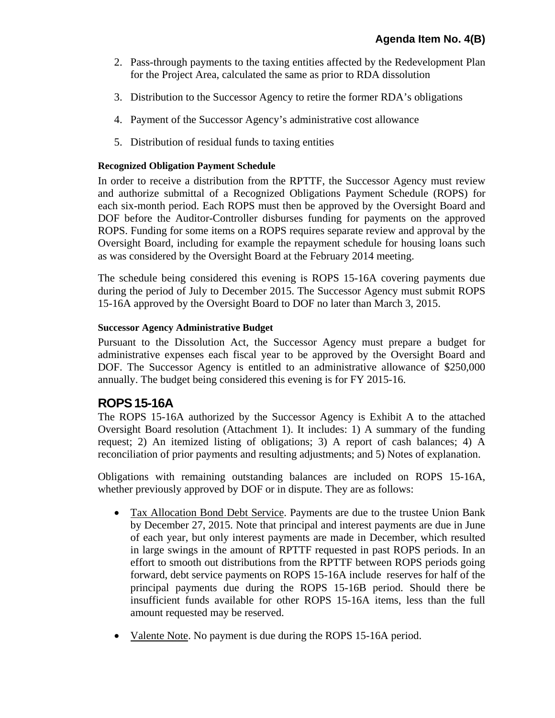- 2. Pass-through payments to the taxing entities affected by the Redevelopment Plan for the Project Area, calculated the same as prior to RDA dissolution
- 3. Distribution to the Successor Agency to retire the former RDA's obligations
- 4. Payment of the Successor Agency's administrative cost allowance
- 5. Distribution of residual funds to taxing entities

#### **Recognized Obligation Payment Schedule**

In order to receive a distribution from the RPTTF, the Successor Agency must review and authorize submittal of a Recognized Obligations Payment Schedule (ROPS) for each six-month period. Each ROPS must then be approved by the Oversight Board and DOF before the Auditor-Controller disburses funding for payments on the approved ROPS. Funding for some items on a ROPS requires separate review and approval by the Oversight Board, including for example the repayment schedule for housing loans such as was considered by the Oversight Board at the February 2014 meeting.

The schedule being considered this evening is ROPS 15-16A covering payments due during the period of July to December 2015. The Successor Agency must submit ROPS 15-16A approved by the Oversight Board to DOF no later than March 3, 2015.

#### **Successor Agency Administrative Budget**

Pursuant to the Dissolution Act, the Successor Agency must prepare a budget for administrative expenses each fiscal year to be approved by the Oversight Board and DOF. The Successor Agency is entitled to an administrative allowance of \$250,000 annually. The budget being considered this evening is for FY 2015-16.

#### **ROPS15-16A**

The ROPS 15-16A authorized by the Successor Agency is Exhibit A to the attached Oversight Board resolution (Attachment 1). It includes: 1) A summary of the funding request; 2) An itemized listing of obligations; 3) A report of cash balances; 4) A reconciliation of prior payments and resulting adjustments; and 5) Notes of explanation.

Obligations with remaining outstanding balances are included on ROPS 15-16A, whether previously approved by DOF or in dispute. They are as follows:

- Tax Allocation Bond Debt Service. Payments are due to the trustee Union Bank by December 27, 2015. Note that principal and interest payments are due in June of each year, but only interest payments are made in December, which resulted in large swings in the amount of RPTTF requested in past ROPS periods. In an effort to smooth out distributions from the RPTTF between ROPS periods going forward, debt service payments on ROPS 15-16A include reserves for half of the principal payments due during the ROPS 15-16B period. Should there be insufficient funds available for other ROPS 15-16A items, less than the full amount requested may be reserved.
- Valente Note. No payment is due during the ROPS 15-16A period.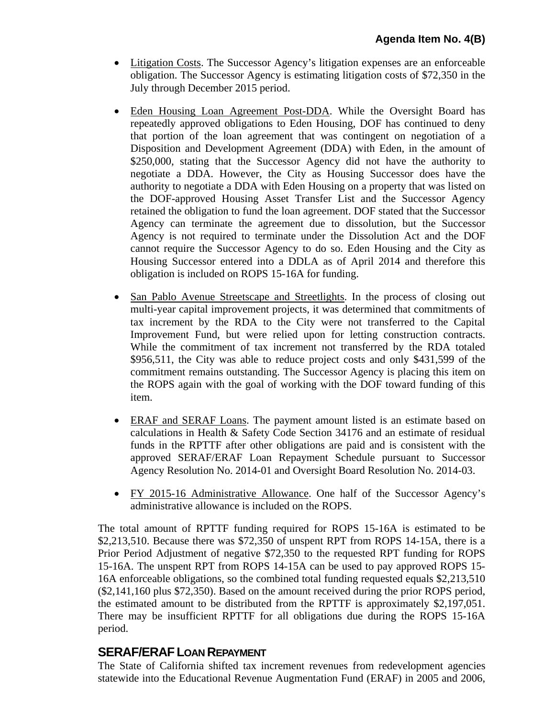- Litigation Costs. The Successor Agency's litigation expenses are an enforceable obligation. The Successor Agency is estimating litigation costs of \$72,350 in the July through December 2015 period.
- Eden Housing Loan Agreement Post-DDA. While the Oversight Board has repeatedly approved obligations to Eden Housing, DOF has continued to deny that portion of the loan agreement that was contingent on negotiation of a Disposition and Development Agreement (DDA) with Eden, in the amount of \$250,000, stating that the Successor Agency did not have the authority to negotiate a DDA. However, the City as Housing Successor does have the authority to negotiate a DDA with Eden Housing on a property that was listed on the DOF-approved Housing Asset Transfer List and the Successor Agency retained the obligation to fund the loan agreement. DOF stated that the Successor Agency can terminate the agreement due to dissolution, but the Successor Agency is not required to terminate under the Dissolution Act and the DOF cannot require the Successor Agency to do so. Eden Housing and the City as Housing Successor entered into a DDLA as of April 2014 and therefore this obligation is included on ROPS 15-16A for funding.
- San Pablo Avenue Streetscape and Streetlights. In the process of closing out multi-year capital improvement projects, it was determined that commitments of tax increment by the RDA to the City were not transferred to the Capital Improvement Fund, but were relied upon for letting construction contracts. While the commitment of tax increment not transferred by the RDA totaled \$956,511, the City was able to reduce project costs and only \$431,599 of the commitment remains outstanding. The Successor Agency is placing this item on the ROPS again with the goal of working with the DOF toward funding of this item.
- ERAF and SERAF Loans. The payment amount listed is an estimate based on calculations in Health & Safety Code Section 34176 and an estimate of residual funds in the RPTTF after other obligations are paid and is consistent with the approved SERAF/ERAF Loan Repayment Schedule pursuant to Successor Agency Resolution No. 2014-01 and Oversight Board Resolution No. 2014-03.
- FY 2015-16 Administrative Allowance. One half of the Successor Agency's administrative allowance is included on the ROPS.

The total amount of RPTTF funding required for ROPS 15-16A is estimated to be \$2,213,510. Because there was \$72,350 of unspent RPT from ROPS 14-15A, there is a Prior Period Adjustment of negative \$72,350 to the requested RPT funding for ROPS 15-16A. The unspent RPT from ROPS 14-15A can be used to pay approved ROPS 15- 16A enforceable obligations, so the combined total funding requested equals \$2,213,510 (\$2,141,160 plus \$72,350). Based on the amount received during the prior ROPS period, the estimated amount to be distributed from the RPTTF is approximately \$2,197,051. There may be insufficient RPTTF for all obligations due during the ROPS 15-16A period.

#### **SERAF/ERAFLOAN REPAYMENT**

The State of California shifted tax increment revenues from redevelopment agencies statewide into the Educational Revenue Augmentation Fund (ERAF) in 2005 and 2006,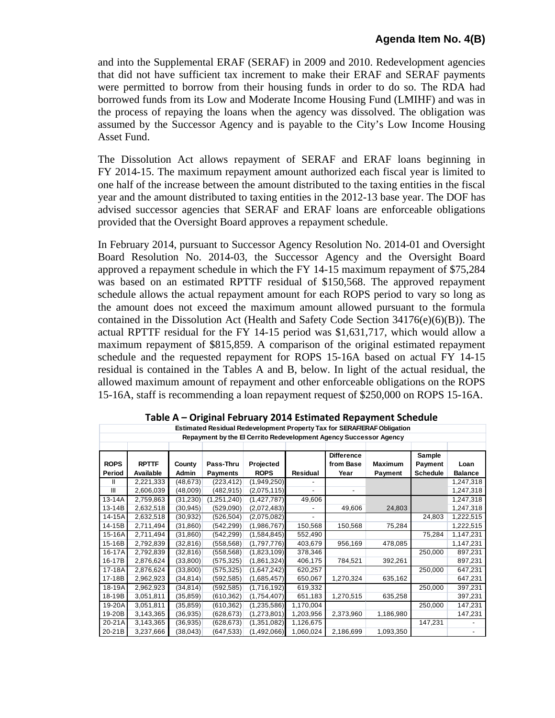and into the Supplemental ERAF (SERAF) in 2009 and 2010. Redevelopment agencies that did not have sufficient tax increment to make their ERAF and SERAF payments were permitted to borrow from their housing funds in order to do so. The RDA had borrowed funds from its Low and Moderate Income Housing Fund (LMIHF) and was in the process of repaying the loans when the agency was dissolved. The obligation was assumed by the Successor Agency and is payable to the City's Low Income Housing Asset Fund.

The Dissolution Act allows repayment of SERAF and ERAF loans beginning in FY 2014-15. The maximum repayment amount authorized each fiscal year is limited to one half of the increase between the amount distributed to the taxing entities in the fiscal year and the amount distributed to taxing entities in the 2012-13 base year. The DOF has advised successor agencies that SERAF and ERAF loans are enforceable obligations provided that the Oversight Board approves a repayment schedule.

In February 2014, pursuant to Successor Agency Resolution No. 2014-01 and Oversight Board Resolution No. 2014-03, the Successor Agency and the Oversight Board approved a repayment schedule in which the FY 14-15 maximum repayment of \$75,284 was based on an estimated RPTTF residual of \$150,568. The approved repayment schedule allows the actual repayment amount for each ROPS period to vary so long as the amount does not exceed the maximum amount allowed pursuant to the formula contained in the Dissolution Act (Health and Safety Code Section 34176(e)(6)(B)). The actual RPTTF residual for the FY 14-15 period was \$1,631,717, which would allow a maximum repayment of \$815,859. A comparison of the original estimated repayment schedule and the requested repayment for ROPS 15-16A based on actual FY 14-15 residual is contained in the Tables A and B, below. In light of the actual residual, the allowed maximum amount of repayment and other enforceable obligations on the ROPS 15-16A, staff is recommending a loan repayment request of \$250,000 on ROPS 15-16A.

|             | <b>Estimated Residual Redevelopment Property Tax for SERAF/ERAF Obligation</b> |           |                                                                   |             |           |                   |                |                 |                |  |  |  |
|-------------|--------------------------------------------------------------------------------|-----------|-------------------------------------------------------------------|-------------|-----------|-------------------|----------------|-----------------|----------------|--|--|--|
|             |                                                                                |           | Repayment by the El Cerrito Redevelopment Agency Successor Agency |             |           |                   |                |                 |                |  |  |  |
|             |                                                                                |           |                                                                   |             |           |                   |                |                 |                |  |  |  |
|             |                                                                                |           |                                                                   |             |           | <b>Difference</b> |                | Sample          |                |  |  |  |
| <b>ROPS</b> | <b>RPTTF</b>                                                                   | County    | Pass-Thru                                                         | Projected   |           | from Base         | <b>Maximum</b> | Payment         | Loan           |  |  |  |
| Period      | Available                                                                      | Admin     | <b>Payments</b>                                                   | <b>ROPS</b> | Residual  | Year              | Payment        | <b>Schedule</b> | <b>Balance</b> |  |  |  |
| Ш           | 2,221,333                                                                      | (48, 673) | (223, 412)                                                        | (1,949,250) |           |                   |                |                 | 1,247,318      |  |  |  |
| Ш           | 2,606,039                                                                      | (48,009)  | (482, 915)                                                        | (2,075,115) |           |                   |                |                 | 1,247,318      |  |  |  |
| 13-14A      | 2,759,863                                                                      | (31, 230) | (1,251,240)                                                       | (1,427,787) | 49,606    |                   |                |                 | 1,247,318      |  |  |  |
| 13-14B      | 2,632,518                                                                      | (30, 945) | (529,090)                                                         | (2,072,483) |           | 49,606            | 24,803         |                 | 1,247,318      |  |  |  |
| 14-15A      | 2,632,518                                                                      | (30, 932) | (526, 504)                                                        | (2,075,082) |           |                   |                | 24,803          | 1,222,515      |  |  |  |
| 14-15B      | 2,711,494                                                                      | (31, 860) | (542, 299)                                                        | (1,986,767) | 150,568   | 150,568           | 75,284         |                 | 1,222,515      |  |  |  |
| 15-16A      | 2,711,494                                                                      | (31, 860) | (542, 299)                                                        | (1,584,845) | 552,490   |                   |                | 75,284          | 1,147,231      |  |  |  |
| 15-16B      | 2,792,839                                                                      | (32, 816) | (558, 568)                                                        | (1,797,776) | 403,679   | 956,169           | 478,085        |                 | 1,147,231      |  |  |  |
| 16-17A      | 2,792,839                                                                      | (32, 816) | (558, 568)                                                        | (1,823,109) | 378,346   |                   |                | 250,000         | 897,231        |  |  |  |
| 16-17B      | 2,876,624                                                                      | (33,800)  | (575, 325)                                                        | (1,861,324) | 406,175   | 784,521           | 392,261        |                 | 897,231        |  |  |  |
| 17-18A      | 2,876,624                                                                      | (33,800)  | (575, 325)                                                        | (1,647,242) | 620,257   |                   |                | 250,000         | 647,231        |  |  |  |
| 17-18B      | 2,962,923                                                                      | (34, 814) | (592, 585)                                                        | (1,685,457) | 650,067   | 1,270,324         | 635,162        |                 | 647,231        |  |  |  |
| 18-19A      | 2,962,923                                                                      | (34, 814) | (592, 585)                                                        | (1,716,192) | 619,332   |                   |                | 250,000         | 397,231        |  |  |  |
| 18-19B      | 3,051,811                                                                      | (35, 859) | (610, 362)                                                        | (1,754,407) | 651,183   | 1,270,515         | 635,258        |                 | 397,231        |  |  |  |
| 19-20A      | 3,051,811                                                                      | (35, 859) | (610, 362)                                                        | (1,235,586) | 1,170,004 |                   |                | 250,000         | 147,231        |  |  |  |
| 19-20B      | 3,143,365                                                                      | (36, 935) | (628, 673)                                                        | (1,273,801) | 1,203,956 | 2,373,960         | 1,186,980      |                 | 147,231        |  |  |  |
| 20-21A      | 3,143,365                                                                      | (36, 935) | (628, 673)                                                        | (1,351,082) | 1,126,675 |                   |                | 147,231         |                |  |  |  |
| 20-21B      | 3,237,666                                                                      | (38, 043) | (647, 533)                                                        | (1,492,066) | 1,060,024 | 2,186,699         | 1,093,350      |                 |                |  |  |  |

**Table A – Original February 2014 Estimated Repayment Schedule**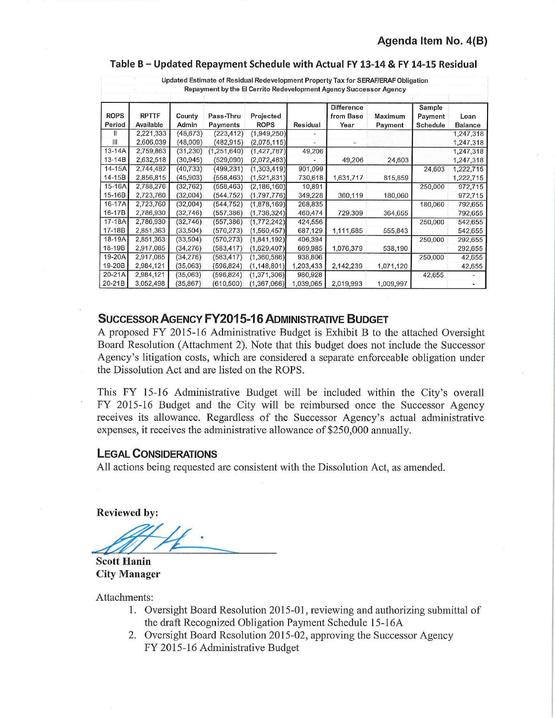#### **Table B- Updated Repayment Schedule with Actual FY 13-14 & FY 14-15 Residual**

|                       |                           |                 |                       |                          |           | Repayment by the El Cerrito Redevelopment Agency Successor Agency | updated estimate or residual redevelopment Property Tax for SERAP/ERAP Upligation |                               |                 |
|-----------------------|---------------------------|-----------------|-----------------------|--------------------------|-----------|-------------------------------------------------------------------|-----------------------------------------------------------------------------------|-------------------------------|-----------------|
| <b>ROPS</b><br>Period | <b>RPTTF</b><br>Available | County<br>Admin | Pass-Thru<br>Payments | Projected<br><b>ROPS</b> | Residual  | <b>Difference</b><br>from Base<br>Year                            | Maximum<br>Payment                                                                | Sample<br>Payment<br>Schedule | Loan<br>Balance |
|                       | 2,221,333                 | (48, 673)       | (223, 412)            | (1,949,250)              |           |                                                                   |                                                                                   |                               | 1,247,318       |
| Ш                     | 2,606,039                 | (48,009)        | (482, 915)            | (2,075,115)              |           |                                                                   |                                                                                   |                               | 1,247,318       |
| $13 - 14A$            | 2,759,863                 | (31, 230)       | (1,251,640)           | (1, 427, 787)            | 49,206    |                                                                   |                                                                                   |                               | 1,247,318       |
| $13 - 14B$            | 2,632,518                 | (30, 945)       | (529,090)             | (2,072,483)              |           | 49,206                                                            | 24,603                                                                            |                               | 1,247,318       |
| $14-15A$              | 2,744,482                 | (40, 733)       | (499, 231)            | (1,303,419)              | 901,099   |                                                                   |                                                                                   | 24,603                        | 1,222,715       |
| $14 - 15B$            | 2,856,815                 | (45,903)        | (558, 463)            | (1,521,831)              | 730,618   | 1,631,717                                                         | 815,859                                                                           |                               | 1,222,715       |
| 15-16A                | 2,788,276                 | (32, 762)       | (558, 463)            | (2, 186, 160)            | 10,891    |                                                                   |                                                                                   | 250,000                       | 972,715         |
| 15-16B                | 2,723,760                 | (32,004)        | (544, 752)            | (1,797,776)              | 349,228   | 360,119                                                           | 180,060                                                                           |                               | 972,715         |
| 16-17A                | 2,723,760                 | (32,004)        | (544, 752)            | (1,878,169)              | 268,835   |                                                                   |                                                                                   | 180,060                       | 792,655         |
| 16-17B                | 2,786,930                 | (32,746)        | (557, 386)            | (1,736,324)              | 460,474   | 729,309                                                           | 364,655                                                                           |                               | 792,655         |
| $17-18A$              | 2,786,930                 | (32, 746)       | (557, 386)            | (1,772,242)              | 424,556   |                                                                   |                                                                                   | 250,000                       | 542,655         |
| 17-18B                | 2,851,363                 | (33, 504)       | (570, 273)            | (1,560,457)              | 687,129   | 1,111,685                                                         | 555,843                                                                           |                               | 542,655         |
| 18-19A                | 2,851,363                 | (33, 504)       | (570, 273)            | (1,841,192)              | 406,394   |                                                                   |                                                                                   | 250,000                       | 292,655         |
| 18-19B                | 2,917,085                 | (34, 276)       | (583, 417)            | (1,629,407)              | 669,985   | 1,076,379                                                         | 538,190                                                                           |                               | 292,655         |
| 19-20A                | 2,917,085                 | (34,276)        | (583, 417)            | (1,360,586)              | 938,806   |                                                                   |                                                                                   | 250,000                       | 42,655          |
| 19-20B                | 2,984,121                 | (35,063)        | (596, 824)            | (1, 148, 801)            | 1,203,433 | 2,142,239                                                         | 1,071,120                                                                         |                               | 42,655          |
| $20 - 21A$            | 2,984,121                 | (35,063)        | (596, 824)            | (1,371,306)              | 980,928   |                                                                   |                                                                                   | 42,655                        |                 |
| $20-21B$              | 3,052,498                 | (35, 867)       | (610, 500)            | (1,367,066)              | 1,039,065 | 2,019,993                                                         | 1,009,997                                                                         |                               |                 |

Updated Estimate of Residual Redevelopment Property Tax for SERAF/ERAFObligation

#### **SUCCESSOR AGENCY FY2015-16 ADMINISTRATIVE BUDGET**

A proposed FY 2015-16 Administrative Budget is Exhibit B to the attached Oversight Board Resolution (Attachment 2). Note that this budget does not include the Successor Agency's litigation costs, which are considered a separate enforceable obligation under the Dissolution Act and are listed on the ROPS.

This FY 15-16 Administrative Budget will be included within the City's overall FY 2015-16 Budget and the City will be reimbursed once the Successor Agency receives its allowance. Regardless of the Successor Agency's actual administrative expenses, it receives the administrative allowance of \$250,000 annually.

#### **LEGAL CONSIDERATIONS**

All actions being requested are consistent with the Dissolution Act, as amended.

**Reviewed** by:

**Scott Hanin City Manager** 

Attachments:

- 1. Oversight Board Resolution 2015-01, reviewing and authorizing submittal of the draft Recognized Obligation Payment Schedule 15-16A
- 2. Oversight Board Resolution 2015-02, approving the Successor Agency FY 2015-16 Administrative Budget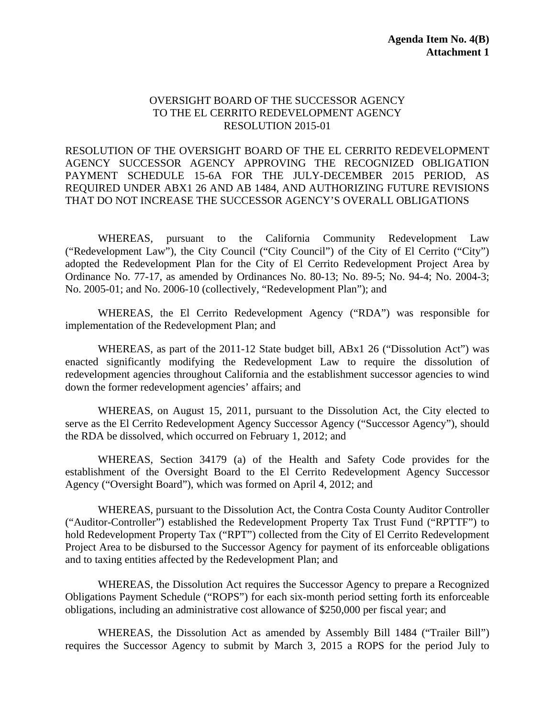#### OVERSIGHT BOARD OF THE SUCCESSOR AGENCY TO THE EL CERRITO REDEVELOPMENT AGENCY RESOLUTION 2015-01

RESOLUTION OF THE OVERSIGHT BOARD OF THE EL CERRITO REDEVELOPMENT AGENCY SUCCESSOR AGENCY APPROVING THE RECOGNIZED OBLIGATION PAYMENT SCHEDULE 15-6A FOR THE JULY-DECEMBER 2015 PERIOD, AS REQUIRED UNDER ABX1 26 AND AB 1484, AND AUTHORIZING FUTURE REVISIONS THAT DO NOT INCREASE THE SUCCESSOR AGENCY'S OVERALL OBLIGATIONS

WHEREAS, pursuant to the California Community Redevelopment Law ("Redevelopment Law"), the City Council ("City Council") of the City of El Cerrito ("City") adopted the Redevelopment Plan for the City of El Cerrito Redevelopment Project Area by Ordinance No. 77-17, as amended by Ordinances No. 80-13; No. 89-5; No. 94-4; No. 2004-3; No. 2005-01; and No. 2006-10 (collectively, "Redevelopment Plan"); and

WHEREAS, the El Cerrito Redevelopment Agency ("RDA") was responsible for implementation of the Redevelopment Plan; and

WHEREAS, as part of the 2011-12 State budget bill, ABx1 26 ("Dissolution Act") was enacted significantly modifying the Redevelopment Law to require the dissolution of redevelopment agencies throughout California and the establishment successor agencies to wind down the former redevelopment agencies' affairs; and

WHEREAS, on August 15, 2011, pursuant to the Dissolution Act, the City elected to serve as the El Cerrito Redevelopment Agency Successor Agency ("Successor Agency"), should the RDA be dissolved, which occurred on February 1, 2012; and

WHEREAS, Section 34179 (a) of the Health and Safety Code provides for the establishment of the Oversight Board to the El Cerrito Redevelopment Agency Successor Agency ("Oversight Board"), which was formed on April 4, 2012; and

WHEREAS, pursuant to the Dissolution Act, the Contra Costa County Auditor Controller ("Auditor-Controller") established the Redevelopment Property Tax Trust Fund ("RPTTF") to hold Redevelopment Property Tax ("RPT") collected from the City of El Cerrito Redevelopment Project Area to be disbursed to the Successor Agency for payment of its enforceable obligations and to taxing entities affected by the Redevelopment Plan; and

WHEREAS, the Dissolution Act requires the Successor Agency to prepare a Recognized Obligations Payment Schedule ("ROPS") for each six-month period setting forth its enforceable obligations, including an administrative cost allowance of \$250,000 per fiscal year; and

WHEREAS, the Dissolution Act as amended by Assembly Bill 1484 ("Trailer Bill") requires the Successor Agency to submit by March 3, 2015 a ROPS for the period July to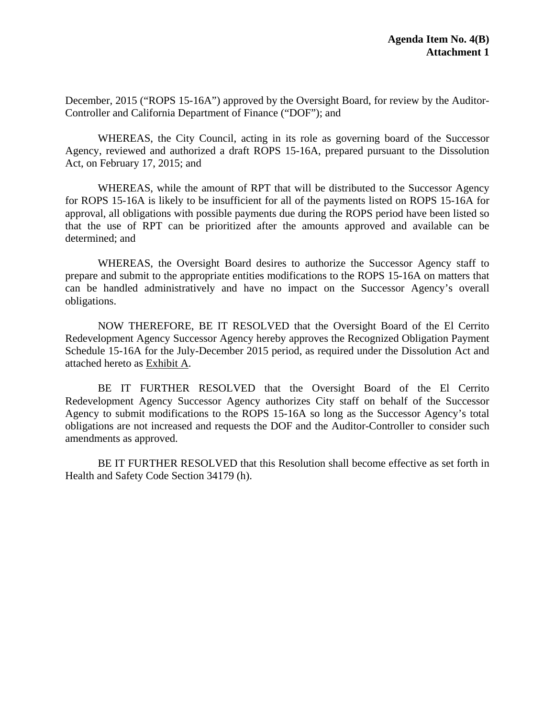December, 2015 ("ROPS 15-16A") approved by the Oversight Board, for review by the Auditor-Controller and California Department of Finance ("DOF"); and

WHEREAS, the City Council, acting in its role as governing board of the Successor Agency, reviewed and authorized a draft ROPS 15-16A, prepared pursuant to the Dissolution Act, on February 17, 2015; and

WHEREAS, while the amount of RPT that will be distributed to the Successor Agency for ROPS 15-16A is likely to be insufficient for all of the payments listed on ROPS 15-16A for approval, all obligations with possible payments due during the ROPS period have been listed so that the use of RPT can be prioritized after the amounts approved and available can be determined; and

WHEREAS, the Oversight Board desires to authorize the Successor Agency staff to prepare and submit to the appropriate entities modifications to the ROPS 15-16A on matters that can be handled administratively and have no impact on the Successor Agency's overall obligations.

NOW THEREFORE, BE IT RESOLVED that the Oversight Board of the El Cerrito Redevelopment Agency Successor Agency hereby approves the Recognized Obligation Payment Schedule 15-16A for the July-December 2015 period, as required under the Dissolution Act and attached hereto as Exhibit A.

BE IT FURTHER RESOLVED that the Oversight Board of the El Cerrito Redevelopment Agency Successor Agency authorizes City staff on behalf of the Successor Agency to submit modifications to the ROPS 15-16A so long as the Successor Agency's total obligations are not increased and requests the DOF and the Auditor-Controller to consider such amendments as approved.

BE IT FURTHER RESOLVED that this Resolution shall become effective as set forth in Health and Safety Code Section 34179 (h).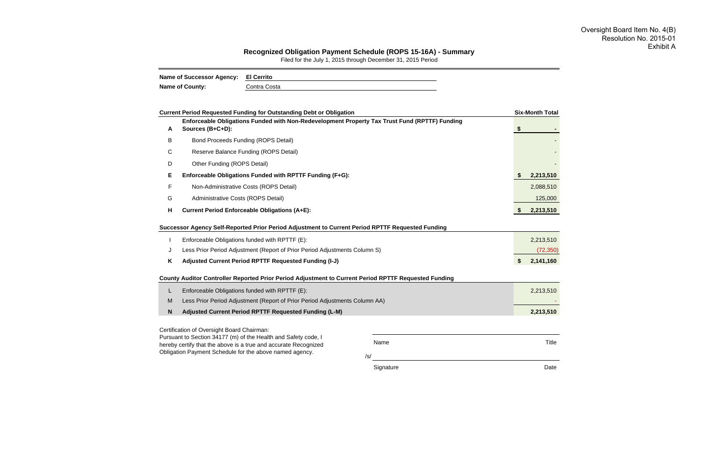/s/

Signature Date Date Date

| <b>Six-Month Total</b> |
|------------------------|
|                        |
| \$                     |
|                        |
|                        |
|                        |
| 2,213,510              |
| 2,088,510              |
| 125,000                |
| 2,213,510              |
| 2,213,510<br>(72, 350) |
| \$<br>2,141,160        |
|                        |
| 2,213,510              |
|                        |
| 2,213,510              |
| <b>Title</b>           |
|                        |



#### **Recognized Obligation Payment Schedule (ROPS 15-16A) - Summary**

Filed for the July 1, 2015 through December 31, 2015 Period

| Name of Successor Agency: El Cerrito |              |
|--------------------------------------|--------------|
| <b>Name of County:</b>               | Contra Costa |

#### Oversight Board Item No. 4(B) Resolution No. 2015-01 Exhibit A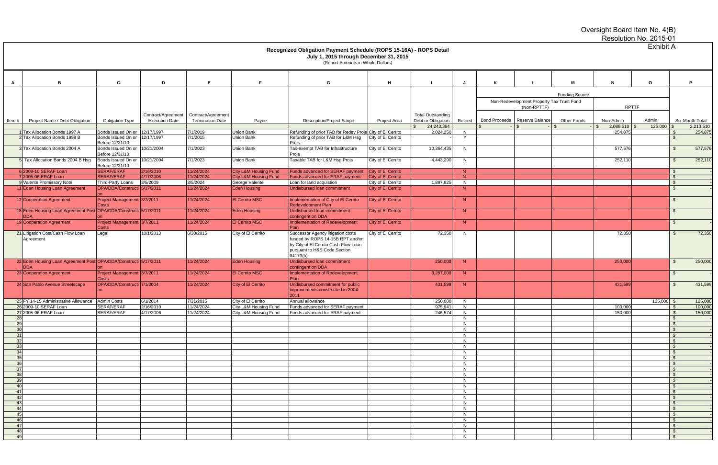|                       |                                                                                                                                                                       |                                                   |                                             |                                               |                                                |                                                                                                                                                                    |                                          |                                                |          |  |                                                          |                       | Oversight Board Item No. 4(B) | Resolution No. 2015-01 |                                                |
|-----------------------|-----------------------------------------------------------------------------------------------------------------------------------------------------------------------|---------------------------------------------------|---------------------------------------------|-----------------------------------------------|------------------------------------------------|--------------------------------------------------------------------------------------------------------------------------------------------------------------------|------------------------------------------|------------------------------------------------|----------|--|----------------------------------------------------------|-----------------------|-------------------------------|------------------------|------------------------------------------------|
|                       | <b>Exhibit A</b><br>Recognized Obligation Payment Schedule (ROPS 15-16A) - ROPS Detail<br>July 1, 2015 through December 31, 2015<br>(Report Amounts in Whole Dollars) |                                                   |                                             |                                               |                                                |                                                                                                                                                                    |                                          |                                                |          |  |                                                          |                       |                               |                        |                                                |
|                       | B                                                                                                                                                                     | C                                                 | D                                           | E.                                            | Е                                              | G                                                                                                                                                                  | H                                        |                                                | IJ       |  |                                                          | м                     | N                             | $\mathbf{o}$           | P                                              |
|                       |                                                                                                                                                                       |                                                   |                                             |                                               |                                                |                                                                                                                                                                    |                                          |                                                |          |  |                                                          | <b>Funding Source</b> |                               |                        |                                                |
|                       |                                                                                                                                                                       |                                                   |                                             |                                               |                                                |                                                                                                                                                                    |                                          |                                                |          |  | Non-Redevelopment Property Tax Trust Fund<br>(Non-RPTTF) |                       | <b>RPTTF</b>                  |                        |                                                |
| Item#                 | Project Name / Debt Obligation                                                                                                                                        | <b>Obligation Type</b>                            | Contract/Agreement<br><b>Execution Date</b> | Contract/Agreement<br><b>Termination Date</b> | Payee                                          | <b>Description/Project Scope</b>                                                                                                                                   | Project Area                             | <b>Total Outstanding</b><br>Debt or Obligation | Retired  |  | Bond Proceeds   Reserve Balance                          | <b>Other Funds</b>    | Non-Admin                     | Admin                  | Six-Month Total                                |
|                       | Tax Allocation Bonds 1997 A                                                                                                                                           | Bonds Issued On or                                | 12/17/1997                                  | 7/1/2019                                      | Union Bank                                     | Refunding of prior TAB for Redev Projs City of El Cerrito                                                                                                          |                                          | 24,243,364<br>2,024,250                        | N        |  |                                                          |                       | $2,088,510$ \$<br>254,875     | $125,000$ \$           | 2,213,510<br>254,875<br>- \$                   |
|                       | Tax Allocation Bonds 1998 B                                                                                                                                           | Bonds Issued On or<br>Before 12/31/10             | 12/17/1997                                  | 7/1/2015                                      | Union Bank                                     | Refunding of prior TAB for L&M Hsg<br>Projs                                                                                                                        | City of El Cerrito                       |                                                | Y        |  |                                                          |                       |                               |                        | -\$                                            |
|                       | Tax Allocation Bonds 2004 A                                                                                                                                           | Bonds Issued On or<br>Before 12/31/10             | 10/21/2004                                  | 7/1/2023                                      | Union Bank                                     | Tax-exempt TAB for Infrastructure<br>Projs                                                                                                                         | City of El Cerrito                       | 10,364,435                                     | N.       |  |                                                          |                       | 577,576                       |                        | 577,576<br>-\$                                 |
|                       | Tax Allocation Bonds 2004 B Hsg                                                                                                                                       | Bonds Issued On or<br>Before 12/31/10             | 10/21/2004                                  | 7/1/2023                                      | <b>Union Bank</b>                              | Taxable TAB for L&M Hsg Projs                                                                                                                                      | City of El Cerrito                       | 4,443,290                                      | N.       |  |                                                          |                       | 252,110                       |                        | 252,110<br>- \$                                |
|                       | 6 2009-10 SERAF Loan                                                                                                                                                  | <b>SERAF/ERAF</b>                                 | 2/16/2010                                   | 11/24/2024                                    | <b>City L&amp;M Housing Fund</b>               | Funds advanced for SERAF payment                                                                                                                                   | City of El Cerrito                       |                                                | N        |  |                                                          |                       |                               |                        | . \$                                           |
|                       | 72005-06 ERAF Loan<br>9 Valente Promissory Note                                                                                                                       | <b>SERAF/ERAF</b>                                 | 4/17/2006<br>3/5/2009                       | 11/24/2024<br>3/5/2024                        | <b>City L&amp;M Housing Fund</b>               | <b>Funds advanced for ERAF payment</b>                                                                                                                             | City of El Cerrito                       | 1,897,925                                      | N        |  |                                                          |                       |                               |                        | $\mathbf{\hat{S}}$<br>$\mathfrak{S}$           |
|                       | 11 Eden Housing Loan Agreement                                                                                                                                        | Third-Party Loans<br>OPA/DDA/Constructi 5/17/2011 |                                             | 11/24/2024                                    | George Valente<br><b>Eden Housing</b>          | Loan for land acquistion<br>Undisbursed Ioan commitment                                                                                                            | City of El Cerrito<br>City of El Cerrito |                                                | N<br>N   |  |                                                          |                       |                               |                        | \$                                             |
|                       | 12 Cooperation Agreement                                                                                                                                              | Project Management 3/7/2011                       |                                             | 11/24/2024                                    | <b>El Cerrito MSC</b>                          | Implementation of City of El Cerrito                                                                                                                               | City of El Cerrito                       |                                                | N        |  |                                                          |                       |                               |                        | $\mathfrak{F}$                                 |
|                       | 18 Eden Housing Loan Agreement Post-OPA/DDA/Constructi 5/17/2011                                                                                                      |                                                   |                                             | 11/24/2024                                    | <b>Eden Housing</b>                            | <b>Redevelopment Plan</b><br>Undisbursed Ioan commitment                                                                                                           | City of El Cerrito                       |                                                | N        |  |                                                          |                       |                               |                        | \$                                             |
|                       | <b>DDA</b><br>19 Cooperation Agreement                                                                                                                                | <b>Project Management</b>                         | 3/7/2011                                    | 11/24/2024                                    | <b>El Cerrito MSC</b>                          | contingent on DDA<br>Implementation of Redevelopment                                                                                                               | City of El Cerrito                       |                                                | N        |  |                                                          |                       |                               |                        | \$                                             |
|                       | 21 Litigation Cost/Cash Flow Loan<br>Agreement                                                                                                                        | Costs<br>Legal                                    | 10/1/2013                                   | 6/30/2015                                     | City of El Cerrito                             | Plan<br>Successor Agency litigation costs<br>funded by ROPS 14-15B RPT and/or<br>by City of El Cerrito Cash Flow Loan<br>pursuant to H&S Code Section<br>34173(h). | City of El Cerrito                       | 72,350                                         | N        |  |                                                          |                       | 72,350                        |                        | 72,350<br>- \$                                 |
|                       | 22 Eden Housing Loan Agreement Post-OPA/DDA/Constructi 5/17/2011<br><b>DDA</b>                                                                                        |                                                   |                                             | 11/24/2024                                    | <b>Eden Housing</b>                            | Undisbursed Ioan commitment<br>contingent on DDA                                                                                                                   |                                          | 250,000                                        | N        |  |                                                          |                       | 250,000                       |                        | 250,000<br>$\mathfrak{F}$                      |
|                       | 23 Cooperation Agreement                                                                                                                                              | Project Management 3/7/2011<br>Costs              |                                             | 11/24/2024                                    | <b>El Cerrito MSC</b>                          | Implementation of Redevelopment<br>Plan                                                                                                                            |                                          | 3,287,000                                      | N        |  |                                                          |                       |                               |                        | -\$                                            |
|                       | 24 San Pablo Avenue Streetscape                                                                                                                                       | OPA/DDA/Constructi 7/1/2004<br>$\mathsf{lon}$     |                                             | 11/24/2024                                    | City of El Cerrito                             | Undisbursed commitment for public<br>improvements constructed in 2004-<br>2011                                                                                     |                                          | 431,599                                        | N        |  |                                                          |                       | 431,599                       |                        | 431,599<br>\$                                  |
|                       | 25 FY 14-15 Administrative Allowance                                                                                                                                  | <b>Admin Costs</b>                                | 6/1/2014                                    | 7/31/2015                                     | City of El Cerrito                             | Annual allowance                                                                                                                                                   |                                          | 250,000                                        | N        |  |                                                          |                       |                               | $125,000$ \$           | 125,000                                        |
|                       | 26 2009-10 SERAF Loan<br>27 2005-06 ERAF Loan                                                                                                                         | SERAF/ERAF<br>SERAF/ERAF                          | 2/16/2010<br>4/17/2006                      | 11/24/2024<br>11/24/2024                      | City L&M Housing Fund<br>City L&M Housing Fund | Funds advanced for SERAF payment<br>Funds advanced for ERAF payment                                                                                                |                                          | 975.94<br>246,574                              | N<br>N   |  |                                                          |                       | 100.000<br>150,000            |                        | 100,000<br><b>S</b><br>$\mathbb{S}$<br>150,000 |
| 28                    |                                                                                                                                                                       |                                                   |                                             |                                               |                                                |                                                                                                                                                                    |                                          |                                                | N        |  |                                                          |                       |                               |                        | $\mathbb{S}$                                   |
| 29                    |                                                                                                                                                                       |                                                   |                                             |                                               |                                                |                                                                                                                                                                    |                                          |                                                | N        |  |                                                          |                       |                               |                        | $\sqrt{S}$                                     |
| 30 <sup>1</sup><br>31 |                                                                                                                                                                       |                                                   |                                             |                                               |                                                |                                                                                                                                                                    |                                          |                                                | N.<br>N. |  |                                                          |                       |                               |                        | $\mathbf{\hat{s}}$<br><b>S</b>                 |
| 32                    |                                                                                                                                                                       |                                                   |                                             |                                               |                                                |                                                                                                                                                                    |                                          |                                                | N.       |  |                                                          |                       |                               |                        | $\mathbf{\hat{S}}$                             |
| 33                    |                                                                                                                                                                       |                                                   |                                             |                                               |                                                |                                                                                                                                                                    |                                          |                                                | N        |  |                                                          |                       |                               |                        | - \$                                           |
| 34<br>35              |                                                                                                                                                                       |                                                   |                                             |                                               |                                                |                                                                                                                                                                    |                                          |                                                | N<br>N   |  |                                                          |                       |                               |                        | <b>S</b><br>$\mathbf{\hat{s}}$                 |
| 36                    |                                                                                                                                                                       |                                                   |                                             |                                               |                                                |                                                                                                                                                                    |                                          |                                                | N        |  |                                                          |                       |                               |                        | $\mathbf{\hat{S}}$                             |
| 37                    |                                                                                                                                                                       |                                                   |                                             |                                               |                                                |                                                                                                                                                                    |                                          |                                                | N        |  |                                                          |                       |                               |                        | $\mathfrak{S}$                                 |
| 38<br>39              |                                                                                                                                                                       |                                                   |                                             |                                               |                                                |                                                                                                                                                                    |                                          |                                                | N.<br>N  |  |                                                          |                       |                               |                        | <b>S</b><br>$\mathbf{\hat{S}}$                 |
| 40                    |                                                                                                                                                                       |                                                   |                                             |                                               |                                                |                                                                                                                                                                    |                                          |                                                | N        |  |                                                          |                       |                               |                        | $\mathbf{\hat{S}}$                             |
| -41                   |                                                                                                                                                                       |                                                   |                                             |                                               |                                                |                                                                                                                                                                    |                                          |                                                | N        |  |                                                          |                       |                               |                        | $\mathbf{\hat{S}}$                             |
| 42<br>43              |                                                                                                                                                                       |                                                   |                                             |                                               |                                                |                                                                                                                                                                    |                                          |                                                | N<br>N.  |  |                                                          |                       |                               |                        | $\mathbb{S}$<br>$\mathbf{\hat{S}}$             |
| 44                    |                                                                                                                                                                       |                                                   |                                             |                                               |                                                |                                                                                                                                                                    |                                          |                                                | N        |  |                                                          |                       |                               |                        | $\mathbf{\hat{S}}$                             |
| 45                    |                                                                                                                                                                       |                                                   |                                             |                                               |                                                |                                                                                                                                                                    |                                          |                                                | N        |  |                                                          |                       |                               |                        | $\mathbf{s}$                                   |
| 46<br>47              |                                                                                                                                                                       |                                                   |                                             |                                               |                                                |                                                                                                                                                                    |                                          |                                                | N        |  |                                                          |                       |                               |                        | $\mathbf{\hat{S}}$<br>$\mathbb{S}$             |
| 48                    |                                                                                                                                                                       |                                                   |                                             |                                               |                                                |                                                                                                                                                                    |                                          |                                                | N<br>N   |  |                                                          |                       |                               |                        | $\mathbf{\hat{S}}$                             |
| 49                    |                                                                                                                                                                       |                                                   |                                             |                                               |                                                |                                                                                                                                                                    |                                          |                                                | N        |  |                                                          |                       |                               |                        | $\mathbf{s}$                                   |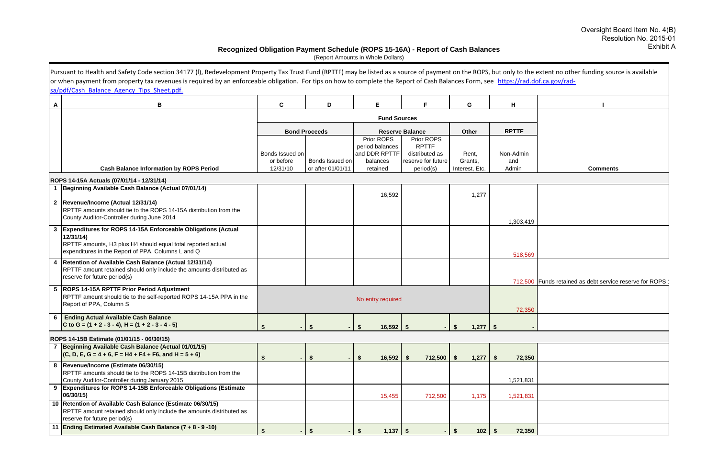|                 | Pursuant to Health and Safety Code section 34177 (I), Redevelopment Property Tax Trust Fund (RPTTF) may be listed as a source of payment on the ROPS, but only to the extent no other funding source is available                |                              |                           |                                                            |                                                                    |                         |                  |                                                         |
|-----------------|----------------------------------------------------------------------------------------------------------------------------------------------------------------------------------------------------------------------------------|------------------------------|---------------------------|------------------------------------------------------------|--------------------------------------------------------------------|-------------------------|------------------|---------------------------------------------------------|
|                 | or when payment from property tax revenues is required by an enforceable obligation. For tips on how to complete the Report of Cash Balances Form, see https://rad.dof.ca.gov/rad-<br>sa/pdf/Cash Balance Agency Tips Sheet.pdf. |                              |                           |                                                            |                                                                    |                         |                  |                                                         |
| A               | В                                                                                                                                                                                                                                | C                            | D                         | Е                                                          |                                                                    | G                       | н                |                                                         |
|                 |                                                                                                                                                                                                                                  |                              |                           | <b>Fund Sources</b>                                        |                                                                    |                         |                  |                                                         |
|                 |                                                                                                                                                                                                                                  |                              | <b>Bond Proceeds</b>      |                                                            | <b>Reserve Balance</b>                                             | Other                   | <b>RPTTF</b>     |                                                         |
|                 |                                                                                                                                                                                                                                  | Bonds Issued on<br>or before | Bonds Issued on           | Prior ROPS<br>period balances<br>and DDR RPTTF<br>balances | Prior ROPS<br><b>RPTTF</b><br>distributed as<br>reserve for future | Rent,<br>Grants,        | Non-Admin<br>and |                                                         |
|                 | <b>Cash Balance Information by ROPS Period</b>                                                                                                                                                                                   | 12/31/10                     | or after 01/01/11         | retained                                                   | period(s)                                                          | Interest, Etc.          | Admin            | <b>Comments</b>                                         |
|                 | ROPS 14-15A Actuals (07/01/14 - 12/31/14)<br>1 Beginning Available Cash Balance (Actual 07/01/14)                                                                                                                                |                              |                           |                                                            |                                                                    |                         |                  |                                                         |
|                 |                                                                                                                                                                                                                                  |                              |                           | 16,592                                                     |                                                                    | 1,277                   |                  |                                                         |
|                 | 2  Revenue/Income (Actual 12/31/14)<br>RPTTF amounts should tie to the ROPS 14-15A distribution from the<br>County Auditor-Controller during June 2014                                                                           |                              |                           |                                                            |                                                                    |                         | 1,303,419        |                                                         |
| 3               | Expenditures for ROPS 14-15A Enforceable Obligations (Actual<br>12/31/14<br>RPTTF amounts, H3 plus H4 should equal total reported actual<br>expenditures in the Report of PPA, Columns L and Q                                   |                              |                           |                                                            |                                                                    |                         | 518,569          |                                                         |
| 4               | Retention of Available Cash Balance (Actual 12/31/14)<br>RPTTF amount retained should only include the amounts distributed as<br>reserve for future period(s)                                                                    |                              |                           |                                                            |                                                                    |                         |                  | 712,500 Funds retained as debt service reserve for ROPS |
| $5\phantom{.0}$ | <b>ROPS 14-15A RPTTF Prior Period Adjustment</b><br>RPTTF amount should tie to the self-reported ROPS 14-15A PPA in the<br>Report of PPA, Column S                                                                               |                              |                           | No entry required                                          |                                                                    |                         | 72,350           |                                                         |
|                 | 6 Ending Actual Available Cash Balance<br>C to G = $(1 + 2 - 3 - 4)$ , H = $(1 + 2 - 3 - 4 - 5)$                                                                                                                                 |                              | \$                        | $16,592$ \$<br>$\mathbf{\$}$                               |                                                                    | $1,277$   \$<br>$-1$ \$ |                  |                                                         |
|                 | ROPS 14-15B Estimate (01/01/15 - 06/30/15)                                                                                                                                                                                       |                              |                           |                                                            |                                                                    |                         |                  |                                                         |
|                 | 7 Beginning Available Cash Balance (Actual 01/01/15)<br>$(C, D, E, G = 4 + 6, F = H4 + F4 + F6, and H = 5 + 6)$                                                                                                                  |                              | $\boldsymbol{\mathsf{s}}$ | 16,592<br>- \$                                             | 712,500<br><b>S</b>                                                | 1,277<br>-S             | 72,350<br>- S    |                                                         |
|                 | 8  Revenue/Income (Estimate 06/30/15)<br>RPTTF amounts should tie to the ROPS 14-15B distribution from the<br>County Auditor-Controller during January 2015                                                                      |                              |                           |                                                            |                                                                    |                         | 1,521,831        |                                                         |
|                 | <b>Expenditures for ROPS 14-15B Enforceable Obligations (Estimate)</b><br>06/30/15)                                                                                                                                              |                              |                           | 15,455                                                     | 712,500                                                            | 1,175                   | 1,521,831        |                                                         |
| 10              | Retention of Available Cash Balance (Estimate 06/30/15)<br>RPTTF amount retained should only include the amounts distributed as<br>reserve for future period(s)                                                                  |                              |                           |                                                            |                                                                    |                         |                  |                                                         |
|                 | 11 <b>Ending Estimated Available Cash Balance (7 + 8 - 9 -10)</b>                                                                                                                                                                |                              |                           | 1,137<br>\$.                                               | - \$                                                               | 102<br>S.               | 72,350           |                                                         |

#### **Recognized Obligation Payment Schedule (ROPS 15-16A) - Report of Cash Balances**

(Report Amounts in Whole Dollars)

## Oversight Board Item No. 4(B) Resolution No. 2015-01 Exhibit A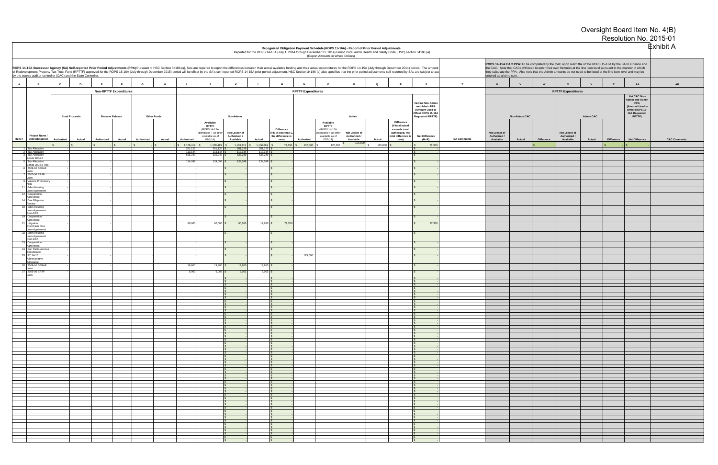|                |                                                                                                                                                                                                                                                                                                                                                                                                                                                                                                                                                                                                                                                                                                                                                                                                                                                                                                                            |                      |                               |            |                    |                         |                                                                                                                                                                                                                                                                                                                                                                                                                          |                                                         |                     |                                                                                   |                           | (Report Amounts in Whole Dollars)                                                                              | Recognized Obligation Payment Schedule (ROPS 15-16A) - Report of Prior Period Adjustments<br>Reported for the ROPS 14-15A (July 1, 2014 through December 31, 2014) Period Pursuant to Health and Safety Code (HSC) section 34186 (a) |                   |                                                                                      |                                                                                                       |                    |                                            |                      |                   |                                            |                  |                   |                                                                                                                | <b>Exhibit A</b> |
|----------------|----------------------------------------------------------------------------------------------------------------------------------------------------------------------------------------------------------------------------------------------------------------------------------------------------------------------------------------------------------------------------------------------------------------------------------------------------------------------------------------------------------------------------------------------------------------------------------------------------------------------------------------------------------------------------------------------------------------------------------------------------------------------------------------------------------------------------------------------------------------------------------------------------------------------------|----------------------|-------------------------------|------------|--------------------|-------------------------|--------------------------------------------------------------------------------------------------------------------------------------------------------------------------------------------------------------------------------------------------------------------------------------------------------------------------------------------------------------------------------------------------------------------------|---------------------------------------------------------|---------------------|-----------------------------------------------------------------------------------|---------------------------|----------------------------------------------------------------------------------------------------------------|--------------------------------------------------------------------------------------------------------------------------------------------------------------------------------------------------------------------------------------|-------------------|--------------------------------------------------------------------------------------|-------------------------------------------------------------------------------------------------------|--------------------|--------------------------------------------|----------------------|-------------------|--------------------------------------------|------------------|-------------------|----------------------------------------------------------------------------------------------------------------|------------------|
|                | ROPS 14-15A CAC PPA: To be completed by the CAC upon submittal of the ROPS 15-16A by the SA to Finance and<br>the CAC. Note that CACs will need to enter their own formulas at the line item level pursuant to the manner in whic<br>ROPS 14-15A Successor Agency (SA) Self-reported Prior Period Adjustments (PPA):Pursuant to HSC Section 34186 (a), SAs are required to report the differences between their actual available funding and their actual expenditu<br>of Redevelopment Property Tax Trust Fund (RPTTF) approved for the ROPS 15-16A (July through December 2015) period will be offset by the SA's self-reported ROPS 14-15A prior period adjustment. HSC Section 34186 (a) also spe<br>they calculate the PPA. Also note that the Admin amounts do not need to be listed at the line item level and may be<br>by the county auditor-controller (CAC) and the State Controller.<br>entered as a lump sum. |                      |                               |            |                    |                         |                                                                                                                                                                                                                                                                                                                                                                                                                          |                                                         |                     |                                                                                   |                           |                                                                                                                |                                                                                                                                                                                                                                      |                   |                                                                                      |                                                                                                       |                    |                                            |                      |                   |                                            |                  |                   |                                                                                                                |                  |
| $\overline{A}$ | $\overline{B}$                                                                                                                                                                                                                                                                                                                                                                                                                                                                                                                                                                                                                                                                                                                                                                                                                                                                                                             | c<br>D               | E                             | G          | H                  |                         | - 4                                                                                                                                                                                                                                                                                                                                                                                                                      | K                                                       |                     | <b>M</b>                                                                          | <b>N</b>                  | $\circ$                                                                                                        |                                                                                                                                                                                                                                      | $\Omega$          |                                                                                      | s                                                                                                     | T                  | $\mathbf{U}$                               | <b>v</b>             |                   | $\mathbf{x}$                               |                  | z                 | AA                                                                                                             | AB               |
|                |                                                                                                                                                                                                                                                                                                                                                                                                                                                                                                                                                                                                                                                                                                                                                                                                                                                                                                                            |                      | <b>Non-RPTTF Expenditures</b> |            |                    |                         |                                                                                                                                                                                                                                                                                                                                                                                                                          |                                                         |                     |                                                                                   | <b>RPTTF Expenditures</b> |                                                                                                                |                                                                                                                                                                                                                                      |                   |                                                                                      |                                                                                                       |                    |                                            |                      |                   | <b>RPTTF Expenditures</b>                  |                  |                   |                                                                                                                |                  |
|                |                                                                                                                                                                                                                                                                                                                                                                                                                                                                                                                                                                                                                                                                                                                                                                                                                                                                                                                            | <b>Bond Proceeds</b> | <b>Reserve Balance</b>        |            | <b>Other Funds</b> |                         |                                                                                                                                                                                                                                                                                                                                                                                                                          | Non-Admin                                               |                     |                                                                                   |                           |                                                                                                                | Admin                                                                                                                                                                                                                                |                   | <b>Difference</b>                                                                    | Net SA Non-Admin<br>and Admin PPA<br>(Amount Used to<br>Offset ROPS 15-16A<br><b>Requested RPTTF)</b> |                    |                                            | <b>Non-Admin CAC</b> |                   |                                            | <b>Admin CAC</b> |                   | Net CAC Non-<br><b>Admin and Admin</b><br>PPA<br>(Amount Used to<br>Offset ROPS 15-<br>16A Requested<br>RPTTF) |                  |
| Item #         | Project Name /<br><b>Debt Obligation</b>                                                                                                                                                                                                                                                                                                                                                                                                                                                                                                                                                                                                                                                                                                                                                                                                                                                                                   | Authorized<br>Actual | Authorized<br>Actual          | Authorized | Actual             | Authorized<br>1,178,419 | Available<br><b>RPTTF</b><br>(ROPS 14-15A<br>distributed + all other<br>available as of<br>07/1/14<br>1,178,419                                                                                                                                                                                                                                                                                                          | Net Lesser of<br>Authorized /<br>Available<br>1,178,419 | Actual<br>1,106,069 | <b>Difference</b><br>(If K is less than L<br>the difference is<br>zero)<br>72,350 | Authorized<br>125,000     | Available<br><b>RPTTF</b><br>(ROPS 14-15A<br>listributed + all other<br>available as of<br>07/1/14)<br>125,000 | Net Lesser of<br>Authorized /<br>Available<br>125,000                                                                                                                                                                                | Actual<br>125,000 | (If total actual<br>exceeds total<br>authorized, the<br>total difference is<br>zero) | <b>Net Difference</b><br>$(M+R)$<br>72,350                                                            | <b>SA Comments</b> | Net Lesser of<br>Authorized /<br>Available | Actual               | <b>Difference</b> | Net Lesser of<br>Authorized /<br>Available | Actual           | <b>Difference</b> | <b>Net Difference</b>                                                                                          | <b>CAC Com</b>   |
|                | <b>Tax Allocation</b>                                                                                                                                                                                                                                                                                                                                                                                                                                                                                                                                                                                                                                                                                                                                                                                                                                                                                                      |                      |                               |            |                    | 281,125                 | 281,125                                                                                                                                                                                                                                                                                                                                                                                                                  | 281,12                                                  | 281,125             |                                                                                   |                           |                                                                                                                |                                                                                                                                                                                                                                      |                   |                                                                                      |                                                                                                       |                    |                                            |                      |                   |                                            |                  |                   |                                                                                                                |                  |
|                | Tax Allocation<br><b>Tax Allocation</b>                                                                                                                                                                                                                                                                                                                                                                                                                                                                                                                                                                                                                                                                                                                                                                                                                                                                                    |                      |                               |            |                    | 113,144<br>535,249      | 113,144<br>535,249                                                                                                                                                                                                                                                                                                                                                                                                       | 113,144<br>535,249                                      | 113,144<br>535,249  |                                                                                   |                           |                                                                                                                |                                                                                                                                                                                                                                      |                   |                                                                                      |                                                                                                       |                    |                                            |                      |                   |                                            |                  |                   |                                                                                                                |                  |
|                | Bonds 2004 A<br><b>Tax Allocation</b>                                                                                                                                                                                                                                                                                                                                                                                                                                                                                                                                                                                                                                                                                                                                                                                                                                                                                      |                      |                               |            |                    | 134,098                 | $134,098$ \$                                                                                                                                                                                                                                                                                                                                                                                                             | 134,098                                                 | 134,098             |                                                                                   |                           |                                                                                                                |                                                                                                                                                                                                                                      |                   |                                                                                      |                                                                                                       |                    |                                            |                      |                   |                                            |                  |                   |                                                                                                                |                  |
|                | Bonds 2004 B Hsg<br>6 2009-10 SERAF                                                                                                                                                                                                                                                                                                                                                                                                                                                                                                                                                                                                                                                                                                                                                                                                                                                                                        |                      |                               |            |                    |                         |                                                                                                                                                                                                                                                                                                                                                                                                                          |                                                         |                     |                                                                                   |                           |                                                                                                                |                                                                                                                                                                                                                                      |                   |                                                                                      |                                                                                                       |                    |                                            |                      |                   |                                            |                  |                   |                                                                                                                |                  |
|                | l nan<br>2005-06 ERAF                                                                                                                                                                                                                                                                                                                                                                                                                                                                                                                                                                                                                                                                                                                                                                                                                                                                                                      |                      |                               |            |                    |                         |                                                                                                                                                                                                                                                                                                                                                                                                                          |                                                         |                     |                                                                                   |                           |                                                                                                                |                                                                                                                                                                                                                                      |                   |                                                                                      |                                                                                                       |                    |                                            |                      |                   |                                            |                  |                   |                                                                                                                |                  |
|                | oar<br>Valente Promisso                                                                                                                                                                                                                                                                                                                                                                                                                                                                                                                                                                                                                                                                                                                                                                                                                                                                                                    |                      |                               |            |                    |                         |                                                                                                                                                                                                                                                                                                                                                                                                                          |                                                         |                     |                                                                                   |                           |                                                                                                                |                                                                                                                                                                                                                                      |                   |                                                                                      |                                                                                                       |                    |                                            |                      |                   |                                            |                  |                   |                                                                                                                |                  |
|                | 11 Eden Housing                                                                                                                                                                                                                                                                                                                                                                                                                                                                                                                                                                                                                                                                                                                                                                                                                                                                                                            |                      |                               |            |                    |                         |                                                                                                                                                                                                                                                                                                                                                                                                                          |                                                         |                     |                                                                                   |                           |                                                                                                                |                                                                                                                                                                                                                                      |                   |                                                                                      |                                                                                                       |                    |                                            |                      |                   |                                            |                  |                   |                                                                                                                |                  |
|                | Loan Agreement<br>12 Cooperation                                                                                                                                                                                                                                                                                                                                                                                                                                                                                                                                                                                                                                                                                                                                                                                                                                                                                           |                      |                               |            |                    |                         |                                                                                                                                                                                                                                                                                                                                                                                                                          |                                                         |                     |                                                                                   |                           |                                                                                                                |                                                                                                                                                                                                                                      |                   |                                                                                      |                                                                                                       |                    |                                            |                      |                   |                                            |                  |                   |                                                                                                                |                  |
|                | Agreement<br>14 Due Diligence                                                                                                                                                                                                                                                                                                                                                                                                                                                                                                                                                                                                                                                                                                                                                                                                                                                                                              |                      |                               |            |                    |                         |                                                                                                                                                                                                                                                                                                                                                                                                                          |                                                         |                     |                                                                                   |                           |                                                                                                                |                                                                                                                                                                                                                                      |                   |                                                                                      |                                                                                                       |                    |                                            |                      |                   |                                            |                  |                   |                                                                                                                |                  |
|                | Review<br>18 Eden Housing                                                                                                                                                                                                                                                                                                                                                                                                                                                                                                                                                                                                                                                                                                                                                                                                                                                                                                  |                      |                               |            |                    |                         |                                                                                                                                                                                                                                                                                                                                                                                                                          |                                                         |                     |                                                                                   |                           |                                                                                                                |                                                                                                                                                                                                                                      |                   |                                                                                      |                                                                                                       |                    |                                            |                      |                   |                                            |                  |                   |                                                                                                                |                  |
|                | Loan Agreement<br>Post-DDA                                                                                                                                                                                                                                                                                                                                                                                                                                                                                                                                                                                                                                                                                                                                                                                                                                                                                                 |                      |                               |            |                    |                         |                                                                                                                                                                                                                                                                                                                                                                                                                          |                                                         |                     |                                                                                   |                           |                                                                                                                |                                                                                                                                                                                                                                      |                   |                                                                                      |                                                                                                       |                    |                                            |                      |                   |                                            |                  |                   |                                                                                                                |                  |
|                | 19 Cooperation<br>Agreement                                                                                                                                                                                                                                                                                                                                                                                                                                                                                                                                                                                                                                                                                                                                                                                                                                                                                                |                      |                               |            |                    |                         |                                                                                                                                                                                                                                                                                                                                                                                                                          |                                                         |                     |                                                                                   |                           |                                                                                                                |                                                                                                                                                                                                                                      |                   |                                                                                      |                                                                                                       |                    |                                            |                      |                   |                                            |                  |                   |                                                                                                                |                  |
|                | 21 Litigation<br>Cost/Cash Flow                                                                                                                                                                                                                                                                                                                                                                                                                                                                                                                                                                                                                                                                                                                                                                                                                                                                                            |                      |                               |            |                    | 90,000                  | $90,000$ \$                                                                                                                                                                                                                                                                                                                                                                                                              | 90,000                                                  | $17,650$ \$         | 72,350                                                                            |                           |                                                                                                                |                                                                                                                                                                                                                                      |                   |                                                                                      | 72,350                                                                                                |                    |                                            |                      |                   |                                            |                  |                   |                                                                                                                |                  |
|                | Loan Agreement<br>22 Eden Housing                                                                                                                                                                                                                                                                                                                                                                                                                                                                                                                                                                                                                                                                                                                                                                                                                                                                                          |                      |                               |            |                    |                         |                                                                                                                                                                                                                                                                                                                                                                                                                          |                                                         |                     |                                                                                   |                           |                                                                                                                |                                                                                                                                                                                                                                      |                   |                                                                                      |                                                                                                       |                    |                                            |                      |                   |                                            |                  |                   |                                                                                                                |                  |
|                | Loan Agreement<br>Post-DDA                                                                                                                                                                                                                                                                                                                                                                                                                                                                                                                                                                                                                                                                                                                                                                                                                                                                                                 |                      |                               |            |                    |                         |                                                                                                                                                                                                                                                                                                                                                                                                                          |                                                         |                     |                                                                                   |                           |                                                                                                                |                                                                                                                                                                                                                                      |                   |                                                                                      |                                                                                                       |                    |                                            |                      |                   |                                            |                  |                   |                                                                                                                |                  |
|                | 23 Cooperation<br>Agreement<br>24 San Pablo Avenu                                                                                                                                                                                                                                                                                                                                                                                                                                                                                                                                                                                                                                                                                                                                                                                                                                                                          |                      |                               |            |                    |                         |                                                                                                                                                                                                                                                                                                                                                                                                                          |                                                         |                     |                                                                                   |                           |                                                                                                                |                                                                                                                                                                                                                                      |                   |                                                                                      |                                                                                                       |                    |                                            |                      |                   |                                            |                  |                   |                                                                                                                |                  |
|                | Streetscape                                                                                                                                                                                                                                                                                                                                                                                                                                                                                                                                                                                                                                                                                                                                                                                                                                                                                                                |                      |                               |            |                    |                         |                                                                                                                                                                                                                                                                                                                                                                                                                          |                                                         |                     |                                                                                   |                           |                                                                                                                |                                                                                                                                                                                                                                      |                   |                                                                                      |                                                                                                       |                    |                                            |                      |                   |                                            |                  |                   |                                                                                                                |                  |
|                | 25 FY 14-15<br>Administrative                                                                                                                                                                                                                                                                                                                                                                                                                                                                                                                                                                                                                                                                                                                                                                                                                                                                                              |                      |                               |            |                    |                         |                                                                                                                                                                                                                                                                                                                                                                                                                          |                                                         |                     |                                                                                   | 125,000                   |                                                                                                                |                                                                                                                                                                                                                                      |                   |                                                                                      |                                                                                                       |                    |                                            |                      |                   |                                            |                  |                   |                                                                                                                |                  |
|                | Allowance <sup>®</sup><br>6 2009-10 SERAF                                                                                                                                                                                                                                                                                                                                                                                                                                                                                                                                                                                                                                                                                                                                                                                                                                                                                  |                      |                               |            |                    | 19,800                  | 19,800                                                                                                                                                                                                                                                                                                                                                                                                                   | 19,800                                                  | 19,800              |                                                                                   |                           |                                                                                                                |                                                                                                                                                                                                                                      |                   |                                                                                      |                                                                                                       |                    |                                            |                      |                   |                                            |                  |                   |                                                                                                                |                  |
|                | 27 2005-06 ERAF                                                                                                                                                                                                                                                                                                                                                                                                                                                                                                                                                                                                                                                                                                                                                                                                                                                                                                            |                      |                               |            |                    | 5,003                   | $5,003$ \$                                                                                                                                                                                                                                                                                                                                                                                                               | 5,003                                                   | 5,003               |                                                                                   |                           |                                                                                                                |                                                                                                                                                                                                                                      |                   |                                                                                      |                                                                                                       |                    |                                            |                      |                   |                                            |                  |                   |                                                                                                                |                  |
|                | Loan                                                                                                                                                                                                                                                                                                                                                                                                                                                                                                                                                                                                                                                                                                                                                                                                                                                                                                                       |                      |                               |            |                    |                         |                                                                                                                                                                                                                                                                                                                                                                                                                          |                                                         |                     |                                                                                   |                           |                                                                                                                |                                                                                                                                                                                                                                      |                   |                                                                                      |                                                                                                       |                    |                                            |                      |                   |                                            |                  |                   |                                                                                                                |                  |
|                |                                                                                                                                                                                                                                                                                                                                                                                                                                                                                                                                                                                                                                                                                                                                                                                                                                                                                                                            |                      |                               |            |                    |                         |                                                                                                                                                                                                                                                                                                                                                                                                                          |                                                         |                     |                                                                                   |                           |                                                                                                                |                                                                                                                                                                                                                                      |                   |                                                                                      |                                                                                                       |                    |                                            |                      |                   |                                            |                  |                   |                                                                                                                |                  |
|                |                                                                                                                                                                                                                                                                                                                                                                                                                                                                                                                                                                                                                                                                                                                                                                                                                                                                                                                            |                      |                               |            |                    |                         |                                                                                                                                                                                                                                                                                                                                                                                                                          |                                                         |                     |                                                                                   |                           |                                                                                                                |                                                                                                                                                                                                                                      |                   |                                                                                      |                                                                                                       |                    |                                            |                      |                   |                                            |                  |                   |                                                                                                                |                  |
|                |                                                                                                                                                                                                                                                                                                                                                                                                                                                                                                                                                                                                                                                                                                                                                                                                                                                                                                                            |                      |                               |            |                    |                         |                                                                                                                                                                                                                                                                                                                                                                                                                          |                                                         |                     |                                                                                   |                           |                                                                                                                |                                                                                                                                                                                                                                      |                   |                                                                                      |                                                                                                       |                    |                                            |                      |                   |                                            |                  |                   |                                                                                                                |                  |
|                |                                                                                                                                                                                                                                                                                                                                                                                                                                                                                                                                                                                                                                                                                                                                                                                                                                                                                                                            |                      |                               |            |                    |                         |                                                                                                                                                                                                                                                                                                                                                                                                                          |                                                         |                     |                                                                                   |                           |                                                                                                                |                                                                                                                                                                                                                                      |                   |                                                                                      |                                                                                                       |                    |                                            |                      |                   |                                            |                  |                   |                                                                                                                |                  |
|                |                                                                                                                                                                                                                                                                                                                                                                                                                                                                                                                                                                                                                                                                                                                                                                                                                                                                                                                            |                      |                               |            |                    |                         |                                                                                                                                                                                                                                                                                                                                                                                                                          |                                                         |                     |                                                                                   |                           |                                                                                                                |                                                                                                                                                                                                                                      |                   |                                                                                      |                                                                                                       |                    |                                            |                      |                   |                                            |                  |                   |                                                                                                                |                  |
|                |                                                                                                                                                                                                                                                                                                                                                                                                                                                                                                                                                                                                                                                                                                                                                                                                                                                                                                                            |                      |                               |            |                    |                         |                                                                                                                                                                                                                                                                                                                                                                                                                          |                                                         |                     |                                                                                   |                           |                                                                                                                |                                                                                                                                                                                                                                      |                   |                                                                                      |                                                                                                       |                    |                                            |                      |                   |                                            |                  |                   |                                                                                                                |                  |
|                |                                                                                                                                                                                                                                                                                                                                                                                                                                                                                                                                                                                                                                                                                                                                                                                                                                                                                                                            |                      |                               |            |                    |                         |                                                                                                                                                                                                                                                                                                                                                                                                                          |                                                         |                     |                                                                                   |                           |                                                                                                                |                                                                                                                                                                                                                                      |                   |                                                                                      |                                                                                                       |                    |                                            |                      |                   |                                            |                  |                   |                                                                                                                |                  |
|                |                                                                                                                                                                                                                                                                                                                                                                                                                                                                                                                                                                                                                                                                                                                                                                                                                                                                                                                            |                      |                               |            |                    |                         |                                                                                                                                                                                                                                                                                                                                                                                                                          |                                                         |                     |                                                                                   |                           |                                                                                                                |                                                                                                                                                                                                                                      |                   |                                                                                      |                                                                                                       |                    |                                            |                      |                   |                                            |                  |                   |                                                                                                                |                  |
|                |                                                                                                                                                                                                                                                                                                                                                                                                                                                                                                                                                                                                                                                                                                                                                                                                                                                                                                                            |                      |                               |            |                    |                         |                                                                                                                                                                                                                                                                                                                                                                                                                          |                                                         |                     |                                                                                   |                           |                                                                                                                |                                                                                                                                                                                                                                      |                   |                                                                                      |                                                                                                       |                    |                                            |                      |                   |                                            |                  |                   |                                                                                                                |                  |
|                |                                                                                                                                                                                                                                                                                                                                                                                                                                                                                                                                                                                                                                                                                                                                                                                                                                                                                                                            |                      |                               |            |                    |                         |                                                                                                                                                                                                                                                                                                                                                                                                                          |                                                         |                     |                                                                                   |                           |                                                                                                                |                                                                                                                                                                                                                                      |                   |                                                                                      |                                                                                                       |                    |                                            |                      |                   |                                            |                  |                   |                                                                                                                |                  |
|                |                                                                                                                                                                                                                                                                                                                                                                                                                                                                                                                                                                                                                                                                                                                                                                                                                                                                                                                            |                      |                               |            |                    |                         |                                                                                                                                                                                                                                                                                                                                                                                                                          |                                                         |                     |                                                                                   |                           |                                                                                                                |                                                                                                                                                                                                                                      |                   |                                                                                      |                                                                                                       |                    |                                            |                      |                   |                                            |                  |                   |                                                                                                                |                  |
|                |                                                                                                                                                                                                                                                                                                                                                                                                                                                                                                                                                                                                                                                                                                                                                                                                                                                                                                                            |                      |                               |            |                    |                         |                                                                                                                                                                                                                                                                                                                                                                                                                          |                                                         |                     |                                                                                   |                           |                                                                                                                |                                                                                                                                                                                                                                      |                   |                                                                                      |                                                                                                       |                    |                                            |                      |                   |                                            |                  |                   |                                                                                                                |                  |
|                |                                                                                                                                                                                                                                                                                                                                                                                                                                                                                                                                                                                                                                                                                                                                                                                                                                                                                                                            |                      |                               |            |                    |                         |                                                                                                                                                                                                                                                                                                                                                                                                                          |                                                         |                     |                                                                                   |                           |                                                                                                                |                                                                                                                                                                                                                                      |                   |                                                                                      |                                                                                                       |                    |                                            |                      |                   |                                            |                  |                   |                                                                                                                |                  |
|                |                                                                                                                                                                                                                                                                                                                                                                                                                                                                                                                                                                                                                                                                                                                                                                                                                                                                                                                            |                      |                               |            |                    |                         |                                                                                                                                                                                                                                                                                                                                                                                                                          |                                                         |                     |                                                                                   |                           |                                                                                                                |                                                                                                                                                                                                                                      |                   |                                                                                      |                                                                                                       |                    |                                            |                      |                   |                                            |                  |                   |                                                                                                                |                  |
|                |                                                                                                                                                                                                                                                                                                                                                                                                                                                                                                                                                                                                                                                                                                                                                                                                                                                                                                                            |                      |                               |            |                    |                         |                                                                                                                                                                                                                                                                                                                                                                                                                          |                                                         |                     |                                                                                   |                           |                                                                                                                |                                                                                                                                                                                                                                      |                   |                                                                                      |                                                                                                       |                    |                                            |                      |                   |                                            |                  |                   |                                                                                                                |                  |
|                |                                                                                                                                                                                                                                                                                                                                                                                                                                                                                                                                                                                                                                                                                                                                                                                                                                                                                                                            |                      |                               |            |                    |                         |                                                                                                                                                                                                                                                                                                                                                                                                                          |                                                         |                     |                                                                                   |                           |                                                                                                                |                                                                                                                                                                                                                                      |                   |                                                                                      |                                                                                                       |                    |                                            |                      |                   |                                            |                  |                   |                                                                                                                |                  |
|                |                                                                                                                                                                                                                                                                                                                                                                                                                                                                                                                                                                                                                                                                                                                                                                                                                                                                                                                            |                      |                               |            |                    |                         |                                                                                                                                                                                                                                                                                                                                                                                                                          |                                                         |                     |                                                                                   |                           |                                                                                                                |                                                                                                                                                                                                                                      |                   |                                                                                      |                                                                                                       |                    |                                            |                      |                   |                                            |                  |                   |                                                                                                                |                  |
|                |                                                                                                                                                                                                                                                                                                                                                                                                                                                                                                                                                                                                                                                                                                                                                                                                                                                                                                                            |                      |                               |            |                    |                         |                                                                                                                                                                                                                                                                                                                                                                                                                          |                                                         |                     |                                                                                   |                           |                                                                                                                |                                                                                                                                                                                                                                      |                   |                                                                                      |                                                                                                       |                    |                                            |                      |                   |                                            |                  |                   |                                                                                                                |                  |
|                |                                                                                                                                                                                                                                                                                                                                                                                                                                                                                                                                                                                                                                                                                                                                                                                                                                                                                                                            |                      |                               |            |                    |                         |                                                                                                                                                                                                                                                                                                                                                                                                                          |                                                         |                     |                                                                                   |                           |                                                                                                                |                                                                                                                                                                                                                                      |                   |                                                                                      |                                                                                                       |                    |                                            |                      |                   |                                            |                  |                   |                                                                                                                |                  |
|                |                                                                                                                                                                                                                                                                                                                                                                                                                                                                                                                                                                                                                                                                                                                                                                                                                                                                                                                            |                      |                               |            |                    |                         |                                                                                                                                                                                                                                                                                                                                                                                                                          |                                                         |                     |                                                                                   |                           |                                                                                                                |                                                                                                                                                                                                                                      |                   |                                                                                      |                                                                                                       |                    |                                            |                      |                   |                                            |                  |                   |                                                                                                                |                  |
|                |                                                                                                                                                                                                                                                                                                                                                                                                                                                                                                                                                                                                                                                                                                                                                                                                                                                                                                                            |                      |                               |            |                    |                         |                                                                                                                                                                                                                                                                                                                                                                                                                          |                                                         |                     |                                                                                   |                           |                                                                                                                |                                                                                                                                                                                                                                      |                   |                                                                                      |                                                                                                       |                    |                                            |                      |                   |                                            |                  |                   |                                                                                                                |                  |
|                |                                                                                                                                                                                                                                                                                                                                                                                                                                                                                                                                                                                                                                                                                                                                                                                                                                                                                                                            |                      |                               |            |                    |                         |                                                                                                                                                                                                                                                                                                                                                                                                                          |                                                         |                     |                                                                                   |                           |                                                                                                                |                                                                                                                                                                                                                                      |                   |                                                                                      |                                                                                                       |                    |                                            |                      |                   |                                            |                  |                   |                                                                                                                |                  |
|                |                                                                                                                                                                                                                                                                                                                                                                                                                                                                                                                                                                                                                                                                                                                                                                                                                                                                                                                            |                      |                               |            |                    |                         |                                                                                                                                                                                                                                                                                                                                                                                                                          |                                                         |                     |                                                                                   |                           |                                                                                                                |                                                                                                                                                                                                                                      |                   |                                                                                      |                                                                                                       |                    |                                            |                      |                   |                                            |                  |                   |                                                                                                                |                  |
|                |                                                                                                                                                                                                                                                                                                                                                                                                                                                                                                                                                                                                                                                                                                                                                                                                                                                                                                                            |                      |                               |            |                    |                         |                                                                                                                                                                                                                                                                                                                                                                                                                          |                                                         |                     |                                                                                   |                           |                                                                                                                |                                                                                                                                                                                                                                      |                   |                                                                                      |                                                                                                       |                    |                                            |                      |                   |                                            |                  |                   |                                                                                                                |                  |
|                |                                                                                                                                                                                                                                                                                                                                                                                                                                                                                                                                                                                                                                                                                                                                                                                                                                                                                                                            |                      |                               |            |                    |                         | $\begin{array}{ c c c c c c }\hline \textbf{3} & \textbf{5} & \textbf{5} & \textbf{5} & \textbf{5} & \textbf{5} & \textbf{5} & \textbf{5} & \textbf{5} & \textbf{5} & \textbf{5} & \textbf{5} & \textbf{5} & \textbf{5} & \textbf{5} & \textbf{5} & \textbf{5} & \textbf{5} & \textbf{5} & \textbf{5} & \textbf{5} & \textbf{5} & \textbf{5} & \textbf{5} & \textbf{5} & \textbf{5} & \textbf{5} & \textbf{5} & \textbf$ |                                                         |                     |                                                                                   |                           |                                                                                                                |                                                                                                                                                                                                                                      |                   |                                                                                      |                                                                                                       |                    |                                            |                      |                   |                                            |                  |                   |                                                                                                                |                  |
|                |                                                                                                                                                                                                                                                                                                                                                                                                                                                                                                                                                                                                                                                                                                                                                                                                                                                                                                                            |                      |                               |            |                    |                         |                                                                                                                                                                                                                                                                                                                                                                                                                          |                                                         |                     |                                                                                   |                           |                                                                                                                |                                                                                                                                                                                                                                      |                   |                                                                                      |                                                                                                       |                    |                                            |                      |                   |                                            |                  |                   |                                                                                                                |                  |

|                    | ROPS 14-15A CAC PPA: To be completed by the CAC upon submittal of the ROPS 15-16A by the SA to Finance and<br>the CAC. Note that CACs will need to enter their own formulas at the line item level pursuant to the manner in which<br>they calculate the PPA. Also note that the Admin amounts do not need to be listed at the line item level and may be<br>entered as a lump sum. |                      |                                                                                                            |                                            |                  |                                    |                                                                                                                |                      |
|--------------------|-------------------------------------------------------------------------------------------------------------------------------------------------------------------------------------------------------------------------------------------------------------------------------------------------------------------------------------------------------------------------------------|----------------------|------------------------------------------------------------------------------------------------------------|--------------------------------------------|------------------|------------------------------------|----------------------------------------------------------------------------------------------------------------|----------------------|
| T                  | U                                                                                                                                                                                                                                                                                                                                                                                   | $\mathsf{v}$         | $\mathsf{W}% _{T}=\mathsf{W}_{T}\!\left( a,b\right) ,\ \mathsf{W}_{T}=\mathsf{W}_{T}\!\left( a,b\right) ,$ | $\pmb{\mathsf{x}}$                         | Y                | $\mathsf z$                        | AA                                                                                                             | $\mathbf A\mathbf B$ |
|                    |                                                                                                                                                                                                                                                                                                                                                                                     | <b>Non-Admin CAC</b> |                                                                                                            | <b>RPTTF Expenditures</b>                  | <b>Admin CAC</b> |                                    | Net CAC Non-<br><b>Admin and Admin</b><br>PPA<br>(Amount Used to<br>Offset ROPS 15-<br>16A Requested<br>RPTTF) |                      |
| <b>SA Comments</b> | Net Lesser of<br>Authorized /<br>Available                                                                                                                                                                                                                                                                                                                                          | Actual               | <b>Difference</b><br>\$                                                                                    | Net Lesser of<br>Authorized /<br>Available | Actual           | <b>Difference</b><br>$\mathsf{\$}$ | <b>Net Difference</b><br>$\mathbb{S}$                                                                          | <b>CAC Comments</b>  |
|                    |                                                                                                                                                                                                                                                                                                                                                                                     |                      |                                                                                                            |                                            |                  |                                    |                                                                                                                |                      |
|                    |                                                                                                                                                                                                                                                                                                                                                                                     |                      |                                                                                                            |                                            |                  |                                    |                                                                                                                |                      |
|                    |                                                                                                                                                                                                                                                                                                                                                                                     |                      |                                                                                                            |                                            |                  |                                    |                                                                                                                |                      |
|                    |                                                                                                                                                                                                                                                                                                                                                                                     |                      |                                                                                                            |                                            |                  |                                    |                                                                                                                |                      |
|                    |                                                                                                                                                                                                                                                                                                                                                                                     |                      |                                                                                                            |                                            |                  |                                    |                                                                                                                |                      |
|                    |                                                                                                                                                                                                                                                                                                                                                                                     |                      |                                                                                                            |                                            |                  |                                    |                                                                                                                |                      |
|                    |                                                                                                                                                                                                                                                                                                                                                                                     |                      |                                                                                                            |                                            |                  |                                    |                                                                                                                |                      |
|                    |                                                                                                                                                                                                                                                                                                                                                                                     |                      |                                                                                                            |                                            |                  |                                    |                                                                                                                |                      |
|                    |                                                                                                                                                                                                                                                                                                                                                                                     |                      |                                                                                                            |                                            |                  |                                    |                                                                                                                |                      |
|                    |                                                                                                                                                                                                                                                                                                                                                                                     |                      |                                                                                                            |                                            |                  |                                    |                                                                                                                |                      |
|                    |                                                                                                                                                                                                                                                                                                                                                                                     |                      |                                                                                                            |                                            |                  |                                    |                                                                                                                |                      |
|                    |                                                                                                                                                                                                                                                                                                                                                                                     |                      |                                                                                                            |                                            |                  |                                    |                                                                                                                |                      |
|                    |                                                                                                                                                                                                                                                                                                                                                                                     |                      |                                                                                                            |                                            |                  |                                    |                                                                                                                |                      |
|                    |                                                                                                                                                                                                                                                                                                                                                                                     |                      |                                                                                                            |                                            |                  |                                    |                                                                                                                |                      |
|                    |                                                                                                                                                                                                                                                                                                                                                                                     |                      |                                                                                                            |                                            |                  |                                    |                                                                                                                |                      |
|                    |                                                                                                                                                                                                                                                                                                                                                                                     |                      |                                                                                                            |                                            |                  |                                    |                                                                                                                |                      |
|                    |                                                                                                                                                                                                                                                                                                                                                                                     |                      |                                                                                                            |                                            |                  |                                    |                                                                                                                |                      |
|                    |                                                                                                                                                                                                                                                                                                                                                                                     |                      |                                                                                                            |                                            |                  |                                    |                                                                                                                |                      |
|                    |                                                                                                                                                                                                                                                                                                                                                                                     |                      |                                                                                                            |                                            |                  |                                    |                                                                                                                |                      |
|                    |                                                                                                                                                                                                                                                                                                                                                                                     |                      |                                                                                                            |                                            |                  |                                    |                                                                                                                |                      |
|                    |                                                                                                                                                                                                                                                                                                                                                                                     |                      |                                                                                                            |                                            |                  |                                    |                                                                                                                |                      |
|                    |                                                                                                                                                                                                                                                                                                                                                                                     |                      |                                                                                                            |                                            |                  |                                    |                                                                                                                |                      |
|                    |                                                                                                                                                                                                                                                                                                                                                                                     |                      |                                                                                                            |                                            |                  |                                    |                                                                                                                |                      |
|                    |                                                                                                                                                                                                                                                                                                                                                                                     |                      |                                                                                                            |                                            |                  |                                    |                                                                                                                |                      |
|                    |                                                                                                                                                                                                                                                                                                                                                                                     |                      |                                                                                                            |                                            |                  |                                    |                                                                                                                |                      |
|                    |                                                                                                                                                                                                                                                                                                                                                                                     |                      |                                                                                                            |                                            |                  |                                    |                                                                                                                |                      |
|                    |                                                                                                                                                                                                                                                                                                                                                                                     |                      |                                                                                                            |                                            |                  |                                    |                                                                                                                |                      |
|                    |                                                                                                                                                                                                                                                                                                                                                                                     |                      |                                                                                                            |                                            |                  |                                    |                                                                                                                |                      |
|                    |                                                                                                                                                                                                                                                                                                                                                                                     |                      |                                                                                                            |                                            |                  |                                    |                                                                                                                |                      |
|                    |                                                                                                                                                                                                                                                                                                                                                                                     |                      |                                                                                                            |                                            |                  |                                    |                                                                                                                |                      |
|                    |                                                                                                                                                                                                                                                                                                                                                                                     |                      |                                                                                                            |                                            |                  |                                    |                                                                                                                |                      |
|                    |                                                                                                                                                                                                                                                                                                                                                                                     |                      |                                                                                                            |                                            |                  |                                    |                                                                                                                |                      |
|                    |                                                                                                                                                                                                                                                                                                                                                                                     |                      |                                                                                                            |                                            |                  |                                    |                                                                                                                |                      |
|                    |                                                                                                                                                                                                                                                                                                                                                                                     |                      |                                                                                                            |                                            |                  |                                    |                                                                                                                |                      |
|                    |                                                                                                                                                                                                                                                                                                                                                                                     |                      |                                                                                                            |                                            |                  |                                    |                                                                                                                |                      |
|                    |                                                                                                                                                                                                                                                                                                                                                                                     |                      |                                                                                                            |                                            |                  |                                    |                                                                                                                |                      |
|                    |                                                                                                                                                                                                                                                                                                                                                                                     |                      |                                                                                                            |                                            |                  |                                    |                                                                                                                |                      |
|                    |                                                                                                                                                                                                                                                                                                                                                                                     |                      |                                                                                                            |                                            |                  |                                    |                                                                                                                |                      |

| Oversight Board Item No. 4(B) |           |
|-------------------------------|-----------|
| Resolution No. 2015-01        |           |
|                               | Exhibit A |
|                               |           |
|                               |           |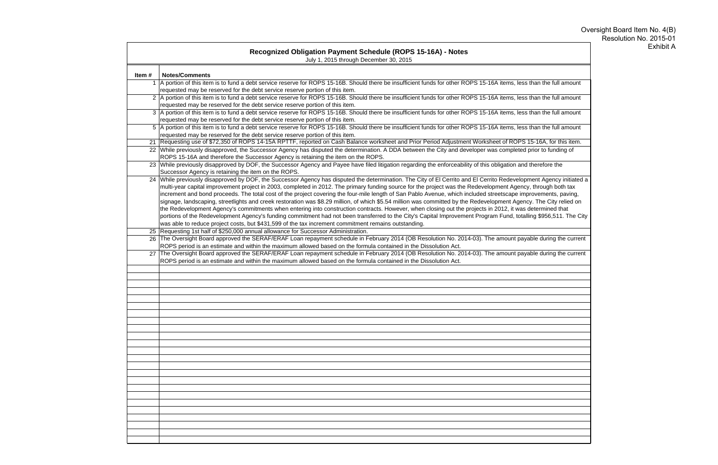|       | Recognized Obligation Payment Schedule (ROPS 15-16A) - Notes<br>July 1, 2015 through December 30, 2015                                                                                                                                                                                                                                                                                                                                                                                                                                                                                                                                                                                                                                                                                                                                                                                                                                                                                                                                                                                                              |
|-------|---------------------------------------------------------------------------------------------------------------------------------------------------------------------------------------------------------------------------------------------------------------------------------------------------------------------------------------------------------------------------------------------------------------------------------------------------------------------------------------------------------------------------------------------------------------------------------------------------------------------------------------------------------------------------------------------------------------------------------------------------------------------------------------------------------------------------------------------------------------------------------------------------------------------------------------------------------------------------------------------------------------------------------------------------------------------------------------------------------------------|
| Item# | <b>Notes/Comments</b>                                                                                                                                                                                                                                                                                                                                                                                                                                                                                                                                                                                                                                                                                                                                                                                                                                                                                                                                                                                                                                                                                               |
|       | 1 A portion of this item is to fund a debt service reserve for ROPS 15-16B. Should there be insufficient funds for other ROPS 15-16A items, less than the full amount<br>requested may be reserved for the debt service reserve portion of this item.                                                                                                                                                                                                                                                                                                                                                                                                                                                                                                                                                                                                                                                                                                                                                                                                                                                               |
|       | 2 A portion of this item is to fund a debt service reserve for ROPS 15-16B. Should there be insufficient funds for other ROPS 15-16A items, less than the full amount<br>requested may be reserved for the debt service reserve portion of this item.                                                                                                                                                                                                                                                                                                                                                                                                                                                                                                                                                                                                                                                                                                                                                                                                                                                               |
|       | 3 A portion of this item is to fund a debt service reserve for ROPS 15-16B. Should there be insufficient funds for other ROPS 15-16A items, less than the full amount<br>requested may be reserved for the debt service reserve portion of this item.                                                                                                                                                                                                                                                                                                                                                                                                                                                                                                                                                                                                                                                                                                                                                                                                                                                               |
|       | 5 A portion of this item is to fund a debt service reserve for ROPS 15-16B. Should there be insufficient funds for other ROPS 15-16A items, less than the full amount<br>requested may be reserved for the debt service reserve portion of this item.                                                                                                                                                                                                                                                                                                                                                                                                                                                                                                                                                                                                                                                                                                                                                                                                                                                               |
|       | 21 Requesting use of \$72,350 of ROPS 14-15A RPTTF, reported on Cash Balance worksheet and Prior Period Adjustment Worksheet of ROPS 15-16A, for this item.                                                                                                                                                                                                                                                                                                                                                                                                                                                                                                                                                                                                                                                                                                                                                                                                                                                                                                                                                         |
|       | 22 While previously disapproved, the Successor Agency has disputed the determination. A DDA between the City and developer was completed prior to funding of<br>ROPS 15-16A and therefore the Successor Agency is retaining the item on the ROPS.                                                                                                                                                                                                                                                                                                                                                                                                                                                                                                                                                                                                                                                                                                                                                                                                                                                                   |
|       | 23 While previously disapproved by DOF, the Successor Agency and Payee have filed litigation regarding the enforceability of this obligation and therefore the<br>Successor Agency is retaining the item on the ROPS.                                                                                                                                                                                                                                                                                                                                                                                                                                                                                                                                                                                                                                                                                                                                                                                                                                                                                               |
|       | 24 While previously disapproved by DOF, the Successor Agency has disputed the determination. The City of El Cerrito and El Cerrito Redevelopment Agency initiated a<br>multi-year capital improvement project in 2003, completed in 2012. The primary funding source for the project was the Redevelopment Agency, through both tax<br>increment and bond proceeds. The total cost of the project covering the four-mile length of San Pablo Avenue, which included streetscape improvements, paving,<br>signage, landscaping, streetlights and creek restoration was \$8.29 million, of which \$5.54 million was committed by the Redevelopment Agency. The City relied on<br>the Redevelopment Agency's commitments when entering into construction contracts. However, when closing out the projects in 2012, it was determined that<br>portions of the Redevelopment Agency's funding commitment had not been transferred to the City's Capital Improvement Program Fund, totalling \$956,511. The City<br>was able to reduce project costs, but \$431,599 of the tax increment commitment remains outstanding. |
|       | 25 Requesting 1st half of \$250,000 annual allowance for Successor Administration.<br>26 The Oversight Board approved the SERAF/ERAF Loan repayment schedule in February 2014 (OB Resolution No. 2014-03). The amount payable during the current<br>ROPS period is an estimate and within the maximum allowed based on the formula contained in the Dissolution Act.<br>27 The Oversight Board approved the SERAF/ERAF Loan repayment schedule in February 2014 (OB Resolution No. 2014-03). The amount payable during the current<br>ROPS period is an estimate and within the maximum allowed based on the formula contained in the Dissolution Act.                                                                                                                                                                                                                                                                                                                                                                                                                                                              |
|       |                                                                                                                                                                                                                                                                                                                                                                                                                                                                                                                                                                                                                                                                                                                                                                                                                                                                                                                                                                                                                                                                                                                     |
|       |                                                                                                                                                                                                                                                                                                                                                                                                                                                                                                                                                                                                                                                                                                                                                                                                                                                                                                                                                                                                                                                                                                                     |
|       |                                                                                                                                                                                                                                                                                                                                                                                                                                                                                                                                                                                                                                                                                                                                                                                                                                                                                                                                                                                                                                                                                                                     |
|       |                                                                                                                                                                                                                                                                                                                                                                                                                                                                                                                                                                                                                                                                                                                                                                                                                                                                                                                                                                                                                                                                                                                     |
|       |                                                                                                                                                                                                                                                                                                                                                                                                                                                                                                                                                                                                                                                                                                                                                                                                                                                                                                                                                                                                                                                                                                                     |
|       |                                                                                                                                                                                                                                                                                                                                                                                                                                                                                                                                                                                                                                                                                                                                                                                                                                                                                                                                                                                                                                                                                                                     |
|       |                                                                                                                                                                                                                                                                                                                                                                                                                                                                                                                                                                                                                                                                                                                                                                                                                                                                                                                                                                                                                                                                                                                     |
|       |                                                                                                                                                                                                                                                                                                                                                                                                                                                                                                                                                                                                                                                                                                                                                                                                                                                                                                                                                                                                                                                                                                                     |
|       |                                                                                                                                                                                                                                                                                                                                                                                                                                                                                                                                                                                                                                                                                                                                                                                                                                                                                                                                                                                                                                                                                                                     |
|       |                                                                                                                                                                                                                                                                                                                                                                                                                                                                                                                                                                                                                                                                                                                                                                                                                                                                                                                                                                                                                                                                                                                     |
|       |                                                                                                                                                                                                                                                                                                                                                                                                                                                                                                                                                                                                                                                                                                                                                                                                                                                                                                                                                                                                                                                                                                                     |
|       |                                                                                                                                                                                                                                                                                                                                                                                                                                                                                                                                                                                                                                                                                                                                                                                                                                                                                                                                                                                                                                                                                                                     |
|       |                                                                                                                                                                                                                                                                                                                                                                                                                                                                                                                                                                                                                                                                                                                                                                                                                                                                                                                                                                                                                                                                                                                     |
|       |                                                                                                                                                                                                                                                                                                                                                                                                                                                                                                                                                                                                                                                                                                                                                                                                                                                                                                                                                                                                                                                                                                                     |
|       |                                                                                                                                                                                                                                                                                                                                                                                                                                                                                                                                                                                                                                                                                                                                                                                                                                                                                                                                                                                                                                                                                                                     |
|       |                                                                                                                                                                                                                                                                                                                                                                                                                                                                                                                                                                                                                                                                                                                                                                                                                                                                                                                                                                                                                                                                                                                     |
|       |                                                                                                                                                                                                                                                                                                                                                                                                                                                                                                                                                                                                                                                                                                                                                                                                                                                                                                                                                                                                                                                                                                                     |
|       |                                                                                                                                                                                                                                                                                                                                                                                                                                                                                                                                                                                                                                                                                                                                                                                                                                                                                                                                                                                                                                                                                                                     |
|       |                                                                                                                                                                                                                                                                                                                                                                                                                                                                                                                                                                                                                                                                                                                                                                                                                                                                                                                                                                                                                                                                                                                     |

# Oversight Board Item No. 4(B) Resolution No. 2015-01 Exhibit A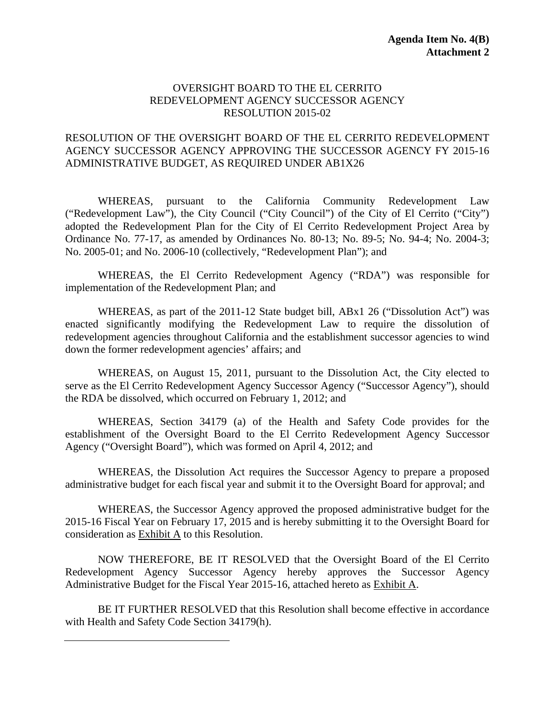#### OVERSIGHT BOARD TO THE EL CERRITO REDEVELOPMENT AGENCY SUCCESSOR AGENCY RESOLUTION 2015-02

#### RESOLUTION OF THE OVERSIGHT BOARD OF THE EL CERRITO REDEVELOPMENT AGENCY SUCCESSOR AGENCY APPROVING THE SUCCESSOR AGENCY FY 2015-16 ADMINISTRATIVE BUDGET, AS REQUIRED UNDER AB1X26

WHEREAS, pursuant to the California Community Redevelopment Law ("Redevelopment Law"), the City Council ("City Council") of the City of El Cerrito ("City") adopted the Redevelopment Plan for the City of El Cerrito Redevelopment Project Area by Ordinance No. 77-17, as amended by Ordinances No. 80-13; No. 89-5; No. 94-4; No. 2004-3; No. 2005-01; and No. 2006-10 (collectively, "Redevelopment Plan"); and

WHEREAS, the El Cerrito Redevelopment Agency ("RDA") was responsible for implementation of the Redevelopment Plan; and

WHEREAS, as part of the 2011-12 State budget bill, ABx1 26 ("Dissolution Act") was enacted significantly modifying the Redevelopment Law to require the dissolution of redevelopment agencies throughout California and the establishment successor agencies to wind down the former redevelopment agencies' affairs; and

WHEREAS, on August 15, 2011, pursuant to the Dissolution Act, the City elected to serve as the El Cerrito Redevelopment Agency Successor Agency ("Successor Agency"), should the RDA be dissolved, which occurred on February 1, 2012; and

WHEREAS, Section 34179 (a) of the Health and Safety Code provides for the establishment of the Oversight Board to the El Cerrito Redevelopment Agency Successor Agency ("Oversight Board"), which was formed on April 4, 2012; and

WHEREAS, the Dissolution Act requires the Successor Agency to prepare a proposed administrative budget for each fiscal year and submit it to the Oversight Board for approval; and

WHEREAS, the Successor Agency approved the proposed administrative budget for the 2015-16 Fiscal Year on February 17, 2015 and is hereby submitting it to the Oversight Board for consideration as Exhibit A to this Resolution.

NOW THEREFORE, BE IT RESOLVED that the Oversight Board of the El Cerrito Redevelopment Agency Successor Agency hereby approves the Successor Agency Administrative Budget for the Fiscal Year 2015-16, attached hereto as Exhibit A.

BE IT FURTHER RESOLVED that this Resolution shall become effective in accordance with Health and Safety Code Section 34179(h).